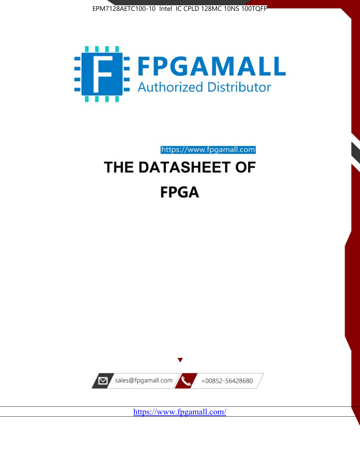



https://www.fpgamall.com

# THE DATASHEET OF **FPGA**



<https://www.fpgamall.com/>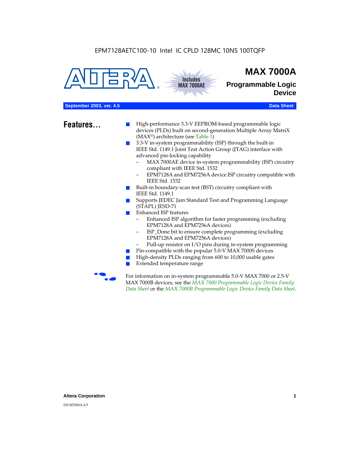



## **MAX 7000A**

**Programmable Logic Device**

#### **September 2003, ver. 4.5** Data Sheet

- **Features...** High-performance 3.3-V EEPROM-based programmable logic devices (PLDs) built on second-generation Multiple Array MatriX (MAX®) architecture (see Table 1)
	- 3.3-V in-system programmability (ISP) through the built-in IEEE Std. 1149.1 Joint Test Action Group (JTAG) interface with advanced pin-locking capability
		- MAX 7000AE device in-system programmability (ISP) circuitry compliant with IEEE Std. 1532
		- EPM7128A and EPM7256A device ISP circuitry compatible with IEEE Std. 1532
	- Built-in boundary-scan test (BST) circuitry compliant with IEEE Std. 1149.1
	- Supports JEDEC Jam Standard Test and Programming Language (STAPL) JESD-71
	- Enhanced ISP features
		- Enhanced ISP algorithm for faster programming (excluding EPM7128A and EPM7256A devices)
		- ISP\_Done bit to ensure complete programming (excluding EPM7128A and EPM7256A devices)
		- Pull-up resistor on I/O pins during in-system programming
	- Pin-compatible with the popular 5.0-V MAX 7000S devices
	- High-density PLDs ranging from 600 to 10,000 usable gates
	- Extended temperature range

For information on in-system programmable 5.0-V MAX 7000 or 2.5-V MAX 7000B devices, see the *MAX 7000 Programmable Logic Device Family Data Sheet* or the *MAX 7000B Programmable Logic Device Family Data Sheet*.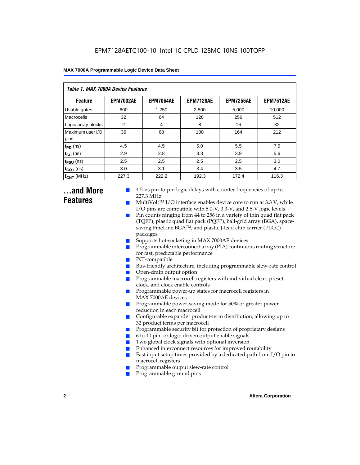| <b>Table 1. MAX 7000A Device Features</b> |                  |                  |                  |                  |                  |  |  |  |
|-------------------------------------------|------------------|------------------|------------------|------------------|------------------|--|--|--|
| <b>Feature</b>                            | <b>EPM7032AE</b> | <b>EPM7064AE</b> | <b>EPM7128AE</b> | <b>EPM7256AE</b> | <b>EPM7512AE</b> |  |  |  |
| Usable gates                              | 600              | 1,250            | 2,500            | 5,000            | 10,000           |  |  |  |
| Macrocells                                | 32               | 64               | 128              | 256              | 512              |  |  |  |
| Logic array blocks                        | 2                | 4                | 8                | 16               | 32               |  |  |  |
| Maximum user I/O<br>pins                  | 36               | 68               | 100              | 164              | 212              |  |  |  |
| $t_{PD}$ (ns)                             | 4.5              | 4.5              | 5.0              | 5.5              | 7.5              |  |  |  |
| $t_{\text{SU}}$ (ns)                      | 2.9              | 2.8              | 3.3              | 3.9              | 5.6              |  |  |  |
| $t_{\text{FSU}}$ (ns)                     | 2.5              | 2.5              | 2.5              | 2.5              | 3.0              |  |  |  |
| $t_{CO1}$ (ns)                            | 3.0              | 3.1              | 3.4              | 3.5              | 4.7              |  |  |  |
| $f_{CNT}$ (MHz)                           | 227.3            | 222.2            | 192.3            | 172.4            | 116.3            |  |  |  |

### **...and More Features**

- 4.5-ns pin-to-pin logic delays with counter frequencies of up to 227.3 MHz
- $Multivolt<sup>TM</sup> I/O interface enables device core to run at 3.3 V, while$ I/O pins are compatible with 5.0-V, 3.3-V, and 2.5-V logic levels
- Pin counts ranging from 44 to 256 in a variety of thin quad flat pack (TQFP), plastic quad flat pack (PQFP), ball-grid array (BGA), spacesaving FineLine BGATM, and plastic J-lead chip carrier (PLCC) packages
- Supports hot-socketing in MAX 7000AE devices
- Programmable interconnect array (PIA) continuous routing structure for fast, predictable performance
- PCI-compatible
- Bus-friendly architecture, including programmable slew-rate control
- Open-drain output option
- Programmable macrocell registers with individual clear, preset, clock, and clock enable controls
- Programmable power-up states for macrocell registers in MAX 7000AE devices
- Programmable power-saving mode for 50% or greater power reduction in each macrocell
- Configurable expander product-term distribution, allowing up to 32 product terms per macrocell
- Programmable security bit for protection of proprietary designs
- 6 to 10 pin- or logic-driven output enable signals
- Two global clock signals with optional inversion
- Enhanced interconnect resources for improved routability
- Fast input setup times provided by a dedicated path from  $I/O$  pin to macrocell registers
- Programmable output slew-rate control
- Programmable ground pins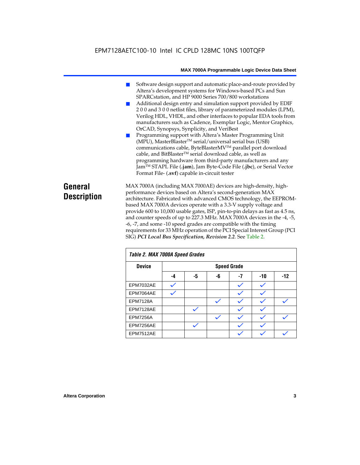### EPM7128AETC100-10 Intel IC CPLD 128MC 10NS 100TQFP

#### **MAX 7000A Programmable Logic Device Data Sheet**

- Software design support and automatic place-and-route provided by Altera's development systems for Windows-based PCs and Sun SPARCstation, and HP 9000 Series 700/800 workstations
- Additional design entry and simulation support provided by EDIF 2 0 0 and 3 0 0 netlist files, library of parameterized modules (LPM), Verilog HDL, VHDL, and other interfaces to popular EDA tools from manufacturers such as Cadence, Exemplar Logic, Mentor Graphics, OrCAD, Synopsys, Synplicity, and VeriBest
- Programming support with Altera's Master Programming Unit (MPU), MasterBlaster™ serial/universal serial bus (USB) communications cable, ByteBlasterMVTM parallel port download cable, and BitBlaster™ serial download cable, as well as programming hardware from third-party manufacturers and any JamTM STAPL File (**.jam**), Jam Byte-Code File (**.jbc**), or Serial Vector Format File- (**.svf**) capable in-circuit tester

### **General Description**

MAX 7000A (including MAX 7000AE) devices are high-density, highperformance devices based on Altera's second-generation MAX architecture. Fabricated with advanced CMOS technology, the EEPROMbased MAX 7000A devices operate with a 3.3-V supply voltage and provide 600 to 10,000 usable gates, ISP, pin-to-pin delays as fast as 4.5 ns, and counter speeds of up to 227.3 MHz. MAX 7000A devices in the -4, -5, -6, -7, and some -10 speed grades are compatible with the timing requirements for 33 MHz operation of the PCI Special Interest Group (PCI SIG) *PCI Local Bus Specification, Revision 2.2*. See Table 2.

| Table 2. MAX 7000A Speed Grades |    |    |    |                    |     |       |  |
|---------------------------------|----|----|----|--------------------|-----|-------|--|
| <b>Device</b>                   |    |    |    | <b>Speed Grade</b> |     |       |  |
|                                 | -4 | -5 | -6 | -7                 | -10 | $-12$ |  |
| EPM7032AE                       |    |    |    |                    |     |       |  |
| EPM7064AE                       |    |    |    |                    |     |       |  |
| <b>EPM7128A</b>                 |    |    |    |                    |     |       |  |
| EPM7128AE                       |    |    |    |                    |     |       |  |
| <b>EPM7256A</b>                 |    |    |    |                    |     |       |  |
| EPM7256AE                       |    |    |    |                    |     |       |  |
| EPM7512AE                       |    |    |    |                    |     |       |  |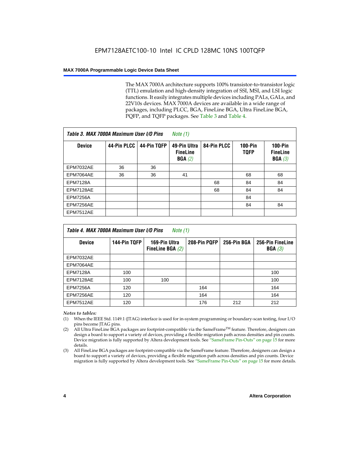The MAX 7000A architecture supports 100% transistor-to-transistor logic (TTL) emulation and high-density integration of SSI, MSI, and LSI logic functions. It easily integrates multiple devices including PALs, GALs, and 22V10s devices. MAX 7000A devices are available in a wide range of packages, including PLCC, BGA, FineLine BGA, Ultra FineLine BGA, PQFP, and TQFP packages. See Table 3 and Table 4.

| Table 3. MAX 7000A Maximum User I/O Pins |             |             | Note $(1)$                                |             |                               |                                           |
|------------------------------------------|-------------|-------------|-------------------------------------------|-------------|-------------------------------|-------------------------------------------|
| <b>Device</b>                            | 44-Pin PLCC | 44-Pin TQFP | 49-Pin Ultra<br><b>FineLine</b><br>BGA(2) | 84-Pin PLCC | <b>100-Pin</b><br><b>TQFP</b> | $100-Pin$<br><b>FineLine</b><br>BGA $(3)$ |
| EPM7032AE                                | 36          | 36          |                                           |             |                               |                                           |
| EPM7064AE                                | 36          | 36          | 41                                        |             | 68                            | 68                                        |
| <b>EPM7128A</b>                          |             |             |                                           | 68          | 84                            | 84                                        |
| EPM7128AE                                |             |             |                                           | 68          | 84                            | 84                                        |
| <b>EPM7256A</b>                          |             |             |                                           |             | 84                            |                                           |
| EPM7256AE                                |             |             |                                           |             | 84                            | 84                                        |
| <b>EPM7512AE</b>                         |             |             |                                           |             |                               |                                           |

| Table 4. MAX 7000A Maximum User I/O Pins<br>Note (1) |              |                                     |              |             |                            |  |  |
|------------------------------------------------------|--------------|-------------------------------------|--------------|-------------|----------------------------|--|--|
| <b>Device</b>                                        | 144-Pin TQFP | 169-Pin Ultra<br>FineLine BGA $(2)$ | 208-Pin PQFP | 256-Pin BGA | 256-Pin FineLine<br>BGA(3) |  |  |
| EPM7032AE                                            |              |                                     |              |             |                            |  |  |
| EPM7064AE                                            |              |                                     |              |             |                            |  |  |
| <b>EPM7128A</b>                                      | 100          |                                     |              |             | 100                        |  |  |
| EPM7128AE                                            | 100          | 100                                 |              |             | 100                        |  |  |
| <b>EPM7256A</b>                                      | 120          |                                     | 164          |             | 164                        |  |  |
| EPM7256AE                                            | 120          |                                     | 164          |             | 164                        |  |  |
| EPM7512AE                                            | 120          |                                     | 176          | 212         | 212                        |  |  |

#### *Notes to tables:*

- (1) When the IEEE Std. 1149.1 (JTAG) interface is used for in-system programming or boundary-scan testing, four I/O pins become JTAG pins.
- (2) All Ultra FineLine BGA packages are footprint-compatible via the SameFrame<sup>TM</sup> feature. Therefore, designers can design a board to support a variety of devices, providing a flexible migration path across densities and pin counts. Device migration is fully supported by Altera development tools. See "SameFrame Pin-Outs" on page 15 for more details.
- (3) All FineLine BGA packages are footprint-compatible via the SameFrame feature. Therefore, designers can design a board to support a variety of devices, providing a flexible migration path across densities and pin counts. Device migration is fully supported by Altera development tools. See "SameFrame Pin-Outs" on page 15 for more details.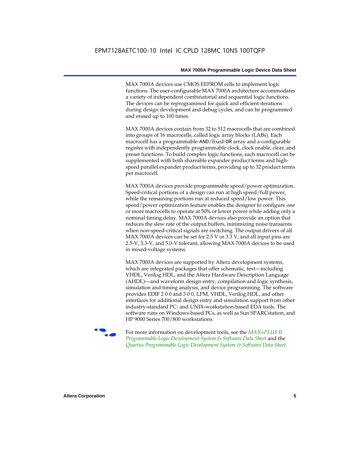MAX 7000A devices use CMOS EEPROM cells to implement logic functions. The user-configurable MAX 7000A architecture accommodates a variety of independent combinatorial and sequential logic functions. The devices can be reprogrammed for quick and efficient iterations during design development and debug cycles, and can be programmed and erased up to 100 times.

MAX 7000A devices contain from 32 to 512 macrocells that are combined into groups of 16 macrocells, called logic array blocks (LABs). Each macrocell has a programmable-AND/fixed-OR array and a configurable register with independently programmable clock, clock enable, clear, and preset functions. To build complex logic functions, each macrocell can be supplemented with both shareable expander product terms and highspeed parallel expander product terms, providing up to 32 product terms per macrocell.

MAX 7000A devices provide programmable speed/power optimization. Speed-critical portions of a design can run at high speed/full power, while the remaining portions run at reduced speed/low power. This speed/power optimization feature enables the designer to configure one or more macrocells to operate at 50% or lower power while adding only a nominal timing delay. MAX 7000A devices also provide an option that reduces the slew rate of the output buffers, minimizing noise transients when non-speed-critical signals are switching. The output drivers of all MAX 7000A devices can be set for 2.5 V or 3.3 V, and all input pins are 2.5-V, 3.3-V, and 5.0-V tolerant, allowing MAX 7000A devices to be used in mixed-voltage systems.

MAX 7000A devices are supported by Altera development systems, which are integrated packages that offer schematic, text—including VHDL, Verilog HDL, and the Altera Hardware Description Language (AHDL)—and waveform design entry, compilation and logic synthesis, simulation and timing analysis, and device programming. The software provides EDIF 2 0 0 and 3 0 0, LPM, VHDL, Verilog HDL, and other interfaces for additional design entry and simulation support from other industry-standard PC- and UNIX-workstation-based EDA tools. The software runs on Windows-based PCs, as well as Sun SPARCstation, and HP 9000 Series 700/800 workstations.

**For more information on development tools, see the** *MAX+PLUS II Programmable Logic Development System & Software Data Sheet* and the *Quartus Programmable Logic Development System & Software Data Sheet*.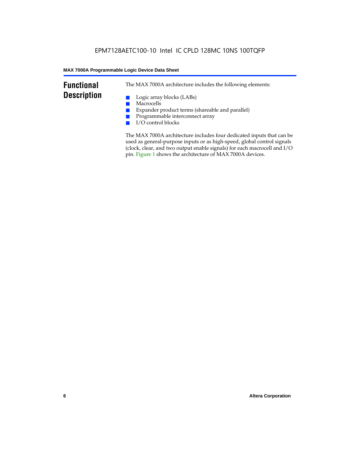### **Functional Description**

The MAX 7000A architecture includes the following elements:

- Logic array blocks (LABs)
- Macrocells
- Expander product terms (shareable and parallel)
- Programmable interconnect array
- I/O control blocks

The MAX 7000A architecture includes four dedicated inputs that can be used as general-purpose inputs or as high-speed, global control signals (clock, clear, and two output enable signals) for each macrocell and I/O pin. Figure 1 shows the architecture of MAX 7000A devices.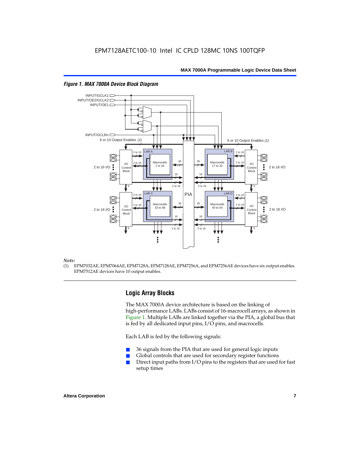

#### *Figure 1. MAX 7000A Device Block Diagram*

#### *Note:*

(1) EPM7032AE, EPM7064AE, EPM7128A, EPM7128AE, EPM7256A, and EPM7256AE devices have six output enables. EPM7512AE devices have 10 output enables.

#### **Logic Array Blocks**

The MAX 7000A device architecture is based on the linking of high-performance LABs. LABs consist of 16-macrocell arrays, as shown in Figure 1. Multiple LABs are linked together via the PIA, a global bus that is fed by all dedicated input pins, I/O pins, and macrocells.

Each LAB is fed by the following signals:

- 36 signals from the PIA that are used for general logic inputs
- Global controls that are used for secondary register functions
- Direct input paths from  $I/O$  pins to the registers that are used for fast setup times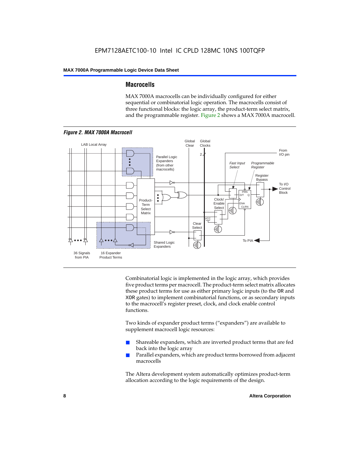#### **Macrocells**

MAX 7000A macrocells can be individually configured for either sequential or combinatorial logic operation. The macrocells consist of three functional blocks: the logic array, the product-term select matrix, and the programmable register. Figure 2 shows a MAX 7000A macrocell.



Combinatorial logic is implemented in the logic array, which provides five product terms per macrocell. The product-term select matrix allocates these product terms for use as either primary logic inputs (to the OR and XOR gates) to implement combinatorial functions, or as secondary inputs to the macrocell's register preset, clock, and clock enable control functions.

Two kinds of expander product terms ("expanders") are available to supplement macrocell logic resources:

- Shareable expanders, which are inverted product terms that are fed back into the logic array
- Parallel expanders, which are product terms borrowed from adjacent macrocells

The Altera development system automatically optimizes product-term allocation according to the logic requirements of the design.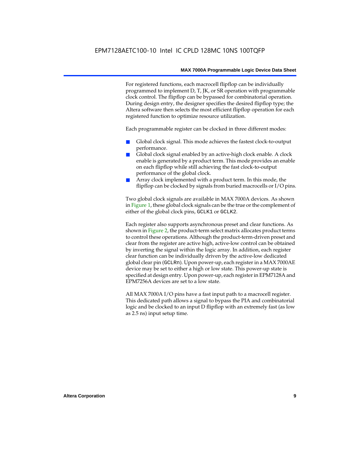For registered functions, each macrocell flipflop can be individually programmed to implement D, T, JK, or SR operation with programmable clock control. The flipflop can be bypassed for combinatorial operation. During design entry, the designer specifies the desired flipflop type; the Altera software then selects the most efficient flipflop operation for each registered function to optimize resource utilization.

Each programmable register can be clocked in three different modes:

- Global clock signal. This mode achieves the fastest clock-to-output performance.
- Global clock signal enabled by an active-high clock enable. A clock enable is generated by a product term. This mode provides an enable on each flipflop while still achieving the fast clock-to-output performance of the global clock.
- Array clock implemented with a product term. In this mode, the flipflop can be clocked by signals from buried macrocells or I/O pins.

Two global clock signals are available in MAX 7000A devices. As shown in Figure 1, these global clock signals can be the true or the complement of either of the global clock pins, GCLK1 or GCLK2.

Each register also supports asynchronous preset and clear functions. As shown in Figure 2, the product-term select matrix allocates product terms to control these operations. Although the product-term-driven preset and clear from the register are active high, active-low control can be obtained by inverting the signal within the logic array. In addition, each register clear function can be individually driven by the active-low dedicated global clear pin (GCLRn). Upon power-up, each register in a MAX 7000AE device may be set to either a high or low state. This power-up state is specified at design entry. Upon power-up, each register in EPM7128A and EPM7256A devices are set to a low state.

All MAX 7000A I/O pins have a fast input path to a macrocell register. This dedicated path allows a signal to bypass the PIA and combinatorial logic and be clocked to an input D flipflop with an extremely fast (as low as 2.5 ns) input setup time.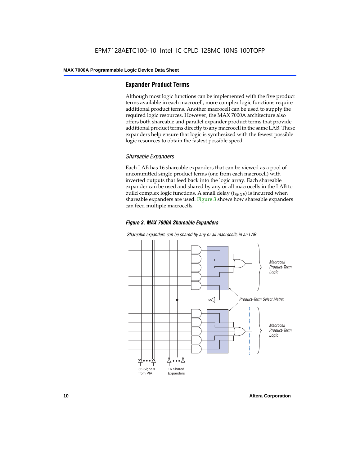#### **Expander Product Terms**

Although most logic functions can be implemented with the five product terms available in each macrocell, more complex logic functions require additional product terms. Another macrocell can be used to supply the required logic resources. However, the MAX 7000A architecture also offers both shareable and parallel expander product terms that provide additional product terms directly to any macrocell in the same LAB. These expanders help ensure that logic is synthesized with the fewest possible logic resources to obtain the fastest possible speed.

#### *Shareable Expanders*

Each LAB has 16 shareable expanders that can be viewed as a pool of uncommitted single product terms (one from each macrocell) with inverted outputs that feed back into the logic array. Each shareable expander can be used and shared by any or all macrocells in the LAB to build complex logic functions. A small delay  $(t_{SFXP})$  is incurred when shareable expanders are used. Figure 3 shows how shareable expanders can feed multiple macrocells.



**Macrocell** Product-Term Logic Product-Term Select Matrix **Macrocell** Product-Term Logic 36 Signals from PIA 16 Shared Expanders

*Shareable expanders can be shared by any or all macrocells in an LAB.*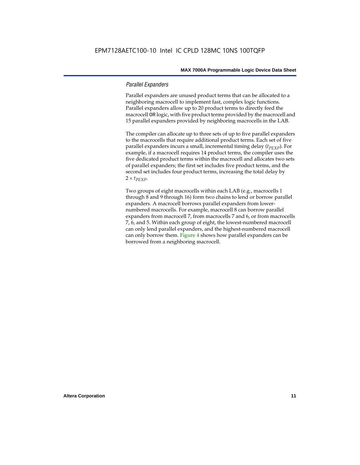#### *Parallel Expanders*

Parallel expanders are unused product terms that can be allocated to a neighboring macrocell to implement fast, complex logic functions. Parallel expanders allow up to 20 product terms to directly feed the macrocell OR logic, with five product terms provided by the macrocell and 15 parallel expanders provided by neighboring macrocells in the LAB.

The compiler can allocate up to three sets of up to five parallel expanders to the macrocells that require additional product terms. Each set of five parallel expanders incurs a small, incremental timing delay (*t<sub>PEXP</sub>*). For example, if a macrocell requires 14 product terms, the compiler uses the five dedicated product terms within the macrocell and allocates two sets of parallel expanders; the first set includes five product terms, and the second set includes four product terms, increasing the total delay by  $2 \times t_{PEXP}$ .

Two groups of eight macrocells within each LAB (e.g., macrocells 1 through 8 and 9 through 16) form two chains to lend or borrow parallel expanders. A macrocell borrows parallel expanders from lowernumbered macrocells. For example, macrocell 8 can borrow parallel expanders from macrocell 7, from macrocells 7 and 6, or from macrocells 7, 6, and 5. Within each group of eight, the lowest-numbered macrocell can only lend parallel expanders, and the highest-numbered macrocell can only borrow them. Figure 4 shows how parallel expanders can be borrowed from a neighboring macrocell.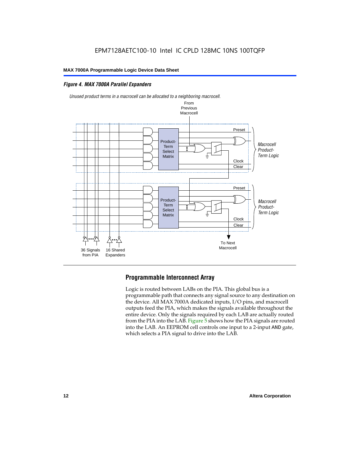#### *Figure 4. MAX 7000A Parallel Expanders*



*Unused product terms in a macrocell can be allocated to a neighboring macrocell.*

#### **Programmable Interconnect Array**

Logic is routed between LABs on the PIA. This global bus is a programmable path that connects any signal source to any destination on the device. All MAX 7000A dedicated inputs, I/O pins, and macrocell outputs feed the PIA, which makes the signals available throughout the entire device. Only the signals required by each LAB are actually routed from the PIA into the LAB. Figure 5 shows how the PIA signals are routed into the LAB. An EEPROM cell controls one input to a 2-input AND gate, which selects a PIA signal to drive into the LAB.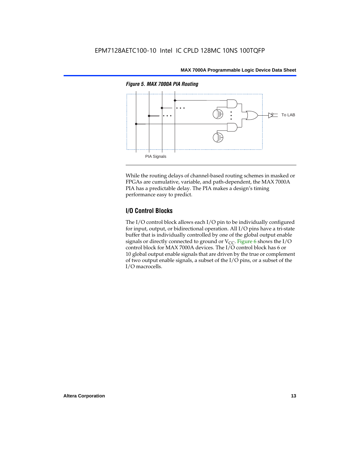

While the routing delays of channel-based routing schemes in masked or FPGAs are cumulative, variable, and path-dependent, the MAX 7000A PIA has a predictable delay. The PIA makes a design's timing performance easy to predict.

#### **I/O Control Blocks**

The I/O control block allows each I/O pin to be individually configured for input, output, or bidirectional operation. All I/O pins have a tri-state buffer that is individually controlled by one of the global output enable signals or directly connected to ground or  $V_{CC}$ . Figure 6 shows the I/O control block for MAX 7000A devices. The I/O control block has 6 or 10 global output enable signals that are driven by the true or complement of two output enable signals, a subset of the I/O pins, or a subset of the I/O macrocells.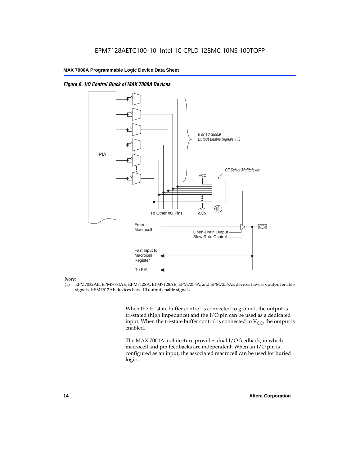

*Figure 6. I/O Control Block of MAX 7000A Devices*

#### *Note:*

(1) EPM7032AE, EPM7064AE, EPM7128A, EPM7128AE, EPM7256A, and EPM7256AE devices have six output enable signals. EPM7512AE devices have 10 output enable signals.

> When the tri-state buffer control is connected to ground, the output is tri-stated (high impedance) and the I/O pin can be used as a dedicated input. When the tri-state buffer control is connected to  $V_{CC}$ , the output is enabled.

The MAX 7000A architecture provides dual I/O feedback, in which macrocell and pin feedbacks are independent. When an I/O pin is configured as an input, the associated macrocell can be used for buried logic.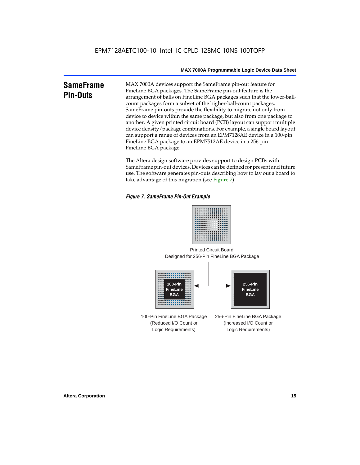#### **SameFrame Pin-Outs** MAX 7000A devices support the SameFrame pin-out feature for FineLine BGA packages. The SameFrame pin-out feature is the arrangement of balls on FineLine BGA packages such that the lower-ballcount packages form a subset of the higher-ball-count packages. SameFrame pin-outs provide the flexibility to migrate not only from device to device within the same package, but also from one package to another. A given printed circuit board (PCB) layout can support multiple device density/package combinations. For example, a single board layout can support a range of devices from an EPM7128AE device in a 100-pin FineLine BGA package to an EPM7512AE device in a 256-pin FineLine BGA package.

The Altera design software provides support to design PCBs with SameFrame pin-out devices. Devices can be defined for present and future use. The software generates pin-outs describing how to lay out a board to take advantage of this migration (see Figure 7).

#### *Figure 7. SameFrame Pin-Out Example*



Designed for 256-Pin FineLine BGA Package Printed Circuit Board



100-Pin FineLine BGA Package (Reduced I/O Count or Logic Requirements) 256-Pin FineLine BGA Package (Increased I/O Count or Logic Requirements)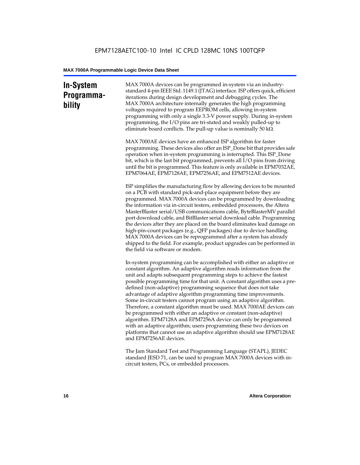### **In-System Programmability**

MAX 7000A devices can be programmed in-system via an industrystandard 4-pin IEEE Std. 1149.1 (JTAG) interface. ISP offers quick, efficient iterations during design development and debugging cycles. The MAX 7000A architecture internally generates the high programming voltages required to program EEPROM cells, allowing in-system programming with only a single 3.3-V power supply. During in-system programming, the I/O pins are tri-stated and weakly pulled-up to eliminate board conflicts. The pull-up value is nominally 50 k $\Omega$ .

MAX 7000AE devices have an enhanced ISP algorithm for faster programming. These devices also offer an ISP\_Done bit that provides safe operation when in-system programming is interrupted. This ISP\_Done bit, which is the last bit programmed, prevents all I/O pins from driving until the bit is programmed. This feature is only available in EPM7032AE, EPM7064AE, EPM7128AE, EPM7256AE, and EPM7512AE devices.

ISP simplifies the manufacturing flow by allowing devices to be mounted on a PCB with standard pick-and-place equipment before they are programmed. MAX 7000A devices can be programmed by downloading the information via in-circuit testers, embedded processors, the Altera MasterBlaster serial/USB communications cable, ByteBlasterMV parallel port download cable, and BitBlaster serial download cable. Programming the devices after they are placed on the board eliminates lead damage on high-pin-count packages (e.g., QFP packages) due to device handling. MAX 7000A devices can be reprogrammed after a system has already shipped to the field. For example, product upgrades can be performed in the field via software or modem.

In-system programming can be accomplished with either an adaptive or constant algorithm. An adaptive algorithm reads information from the unit and adapts subsequent programming steps to achieve the fastest possible programming time for that unit. A constant algorithm uses a predefined (non-adaptive) programming sequence that does not take advantage of adaptive algorithm programming time improvements. Some in-circuit testers cannot program using an adaptive algorithm. Therefore, a constant algorithm must be used. MAX 7000AE devices can be programmed with either an adaptive or constant (non-adaptive) algorithm. EPM7128A and EPM7256A device can only be programmed with an adaptive algorithm; users programming these two devices on platforms that cannot use an adaptive algorithm should use EPM7128AE and EPM7256AE devices.

The Jam Standard Test and Programming Language (STAPL), JEDEC standard JESD 71, can be used to program MAX 7000A devices with incircuit testers, PCs, or embedded processors.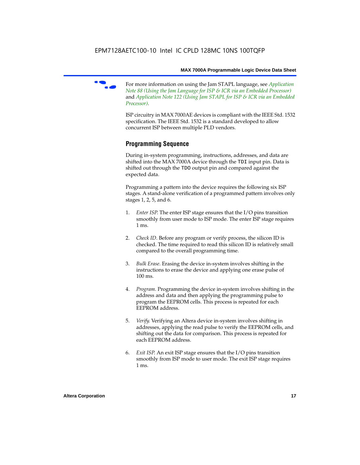

f For more information on using the Jam STAPL language, see *Application Note 88 (Using the Jam Language for ISP & ICR via an Embedded Processor)*  and *Application Note 122 (Using Jam STAPL for ISP & ICR via an Embedded Processor)*.

ISP circuitry in MAX 7000AE devices is compliant with the IEEE Std. 1532 specification. The IEEE Std. 1532 is a standard developed to allow concurrent ISP between multiple PLD vendors.

#### **Programming Sequence**

During in-system programming, instructions, addresses, and data are shifted into the MAX 7000A device through the TDI input pin. Data is shifted out through the TDO output pin and compared against the expected data.

Programming a pattern into the device requires the following six ISP stages. A stand-alone verification of a programmed pattern involves only stages 1, 2, 5, and 6.

- 1. *Enter ISP*. The enter ISP stage ensures that the I/O pins transition smoothly from user mode to ISP mode. The enter ISP stage requires 1 ms.
- 2. *Check ID*. Before any program or verify process, the silicon ID is checked. The time required to read this silicon ID is relatively small compared to the overall programming time.
- 3. *Bulk Erase*. Erasing the device in-system involves shifting in the instructions to erase the device and applying one erase pulse of 100 ms.
- 4. *Program*. Programming the device in-system involves shifting in the address and data and then applying the programming pulse to program the EEPROM cells. This process is repeated for each EEPROM address.
- 5. *Verify*. Verifying an Altera device in-system involves shifting in addresses, applying the read pulse to verify the EEPROM cells, and shifting out the data for comparison. This process is repeated for each EEPROM address.
- 6. *Exit ISP*. An exit ISP stage ensures that the I/O pins transition smoothly from ISP mode to user mode. The exit ISP stage requires 1 ms.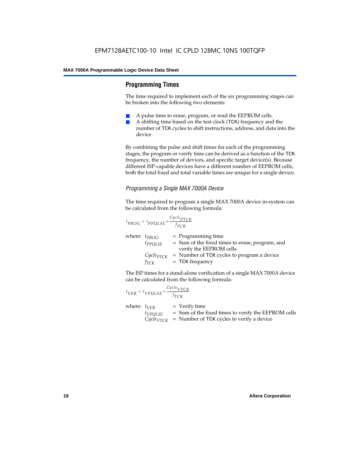#### **Programming Times**

The time required to implement each of the six programming stages can be broken into the following two elements:

- A pulse time to erase, program, or read the EEPROM cells.
- A shifting time based on the test clock (TCK) frequency and the number of TCK cycles to shift instructions, address, and data into the device.

By combining the pulse and shift times for each of the programming stages, the program or verify time can be derived as a function of the TCK frequency, the number of devices, and specific target device(s). Because different ISP-capable devices have a different number of EEPROM cells, both the total fixed and total variable times are unique for a single device.

#### *Programming a Single MAX 7000A Device*

The time required to program a single MAX 7000A device in-system can be calculated from the following formula:

$$
t_{PROG} = t_{PPULSE} + \frac{c_{ycle_{PTCK}}}{f_{TCK}}
$$
  
where:  $t_{PROG}$  = Programming time  
 $t_{PPULSE}$  = Sum of the fixed times to erase, program, and  
verify the EEPROM cells  
 $C_{ycle_{PTCK}}$  = Number of TCK cycles to program a device  
 $f_{TCK}$  = TCK frequency

The ISP times for a stand-alone verification of a single MAX 7000A device can be calculated from the following formula:

| $t_{VER} = t_{VPULSE} + \frac{Cycle_{VTCK}}{f_{TCK}}$ |                                                                                                                                 |
|-------------------------------------------------------|---------------------------------------------------------------------------------------------------------------------------------|
| where: $t_{VER}$<br>$t_{VPULSE}$                      | $=$ Verify time<br>= Sum of the fixed times to verify the EEPROM cells<br>$CycleVTCK$ = Number of TCK cycles to verify a device |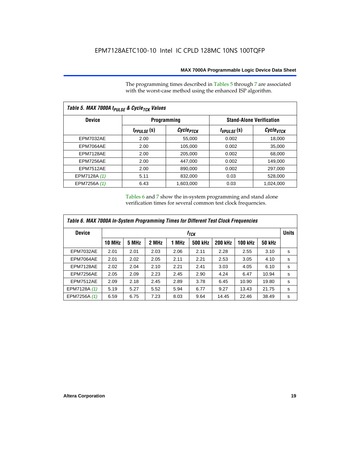The programming times described in Tables 5 through 7 are associated with the worst-case method using the enhanced ISP algorithm.

| Table 5. MAX 7000A t <sub>PULSE</sub> & Cycle <sub>TCK</sub> Values |                 |                       |                                 |                       |  |  |  |  |
|---------------------------------------------------------------------|-----------------|-----------------------|---------------------------------|-----------------------|--|--|--|--|
| <b>Device</b>                                                       |                 | <b>Programming</b>    | <b>Stand-Alone Verification</b> |                       |  |  |  |  |
|                                                                     | $t_{PPULSE}(s)$ | Cycle <sub>PTCK</sub> | $t_{VPULSE}(s)$                 | Cycle <sub>vTCK</sub> |  |  |  |  |
| <b>EPM7032AE</b>                                                    | 2.00            | 55,000                | 0.002                           | 18,000                |  |  |  |  |
| EPM7064AE                                                           | 2.00            | 105,000               | 0.002                           | 35,000                |  |  |  |  |
| EPM7128AE                                                           | 2.00            | 205,000               | 0.002                           | 68,000                |  |  |  |  |
| EPM7256AE                                                           | 2.00            | 447,000               | 0.002                           | 149.000               |  |  |  |  |
| <b>EPM7512AE</b>                                                    | 2.00            | 890,000               | 0.002                           | 297,000               |  |  |  |  |
| EPM7128A (1)                                                        | 5.11            | 832,000               | 0.03                            | 528,000               |  |  |  |  |
| EPM7256A (1)                                                        | 6.43            | 1.603.000             | 0.03                            | 1,024,000             |  |  |  |  |

Tables 6 and 7 show the in-system programming and stand alone verification times for several common test clock frequencies.

| Table 6. MAX 7000A In-System Programming Times for Different Test Clock Frequencies |               |                  |       |       |                |                |                |               |   |
|-------------------------------------------------------------------------------------|---------------|------------------|-------|-------|----------------|----------------|----------------|---------------|---|
| <b>Device</b>                                                                       |               | t <sub>тск</sub> |       |       |                |                |                |               |   |
|                                                                                     | <b>10 MHz</b> | 5 MHz            | 2 MHz | 1 MHz | <b>500 kHz</b> | <b>200 kHz</b> | <b>100 kHz</b> | <b>50 kHz</b> |   |
| <b>EPM7032AE</b>                                                                    | 2.01          | 2.01             | 2.03  | 2.06  | 2.11           | 2.28           | 2.55           | 3.10          | s |
| EPM7064AE                                                                           | 2.01          | 2.02             | 2.05  | 2.11  | 2.21           | 2.53           | 3.05           | 4.10          | s |
| EPM7128AE                                                                           | 2.02          | 2.04             | 2.10  | 2.21  | 2.41           | 3.03           | 4.05           | 6.10          | s |
| EPM7256AE                                                                           | 2.05          | 2.09             | 2.23  | 2.45  | 2.90           | 4.24           | 6.47           | 10.94         | s |
| <b>EPM7512AE</b>                                                                    | 2.09          | 2.18             | 2.45  | 2.89  | 3.78           | 6.45           | 10.90          | 19.80         | s |
| EPM7128A (1)                                                                        | 5.19          | 5.27             | 5.52  | 5.94  | 6.77           | 9.27           | 13.43          | 21.75         | s |
| EPM7256A (1)                                                                        | 6.59          | 6.75             | 7.23  | 8.03  | 9.64           | 14.45          | 22.46          | 38.49         | s |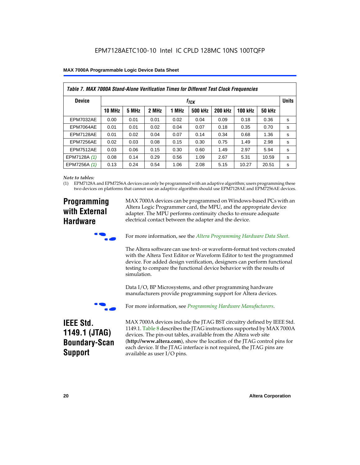| Table 7. MAX 7000A Stand-Alone Verification Times for Different Test Clock Frequencies |               |                                  |       |       |                |                |                |               |   |
|----------------------------------------------------------------------------------------|---------------|----------------------------------|-------|-------|----------------|----------------|----------------|---------------|---|
| <b>Device</b>                                                                          |               | <b>Units</b><br>f <sub>ТСК</sub> |       |       |                |                |                |               |   |
|                                                                                        | <b>10 MHz</b> | 5 MHz                            | 2 MHz | 1 MHz | <b>500 kHz</b> | <b>200 kHz</b> | <b>100 kHz</b> | <b>50 kHz</b> |   |
| <b>EPM7032AE</b>                                                                       | 0.00          | 0.01                             | 0.01  | 0.02  | 0.04           | 0.09           | 0.18           | 0.36          | s |
| <b>EPM7064AE</b>                                                                       | 0.01          | 0.01                             | 0.02  | 0.04  | 0.07           | 0.18           | 0.35           | 0.70          | s |
| EPM7128AE                                                                              | 0.01          | 0.02                             | 0.04  | 0.07  | 0.14           | 0.34           | 0.68           | 1.36          | s |
| EPM7256AE                                                                              | 0.02          | 0.03                             | 0.08  | 0.15  | 0.30           | 0.75           | 1.49           | 2.98          | s |
| <b>EPM7512AE</b>                                                                       | 0.03          | 0.06                             | 0.15  | 0.30  | 0.60           | 1.49           | 2.97           | 5.94          | s |
| EPM7128A (1)                                                                           | 0.08          | 0.14                             | 0.29  | 0.56  | 1.09           | 2.67           | 5.31           | 10.59         | s |
| EPM7256A (1)                                                                           | 0.13          | 0.24                             | 0.54  | 1.06  | 2.08           | 5.15           | 10.27          | 20.51         | s |

#### *Note to tables:*

(1) EPM7128A and EPM7256A devices can only be programmed with an adaptive algorithm; users programming these two devices on platforms that cannot use an adaptive algorithm should use EPM7128AE and EPM7256AE devices.

### **Programming with External Hardware**

MAX 7000A devices can be programmed on Windows-based PCs with an Altera Logic Programmer card, the MPU, and the appropriate device adapter. The MPU performs continuity checks to ensure adequate electrical contact between the adapter and the device.



For more information, see the *Altera Programming Hardware Data Sheet*.

The Altera software can use text- or waveform-format test vectors created with the Altera Text Editor or Waveform Editor to test the programmed device. For added design verification, designers can perform functional testing to compare the functional device behavior with the results of simulation.

Data I/O, BP Microsystems, and other programming hardware manufacturers provide programming support for Altera devices.



For more information, see *Programming Hardware Manufacturers*.

### **IEEE Std. 1149.1 (JTAG) Boundary-Scan Support**

MAX 7000A devices include the JTAG BST circuitry defined by IEEE Std. 1149.1. Table 8 describes the JTAG instructions supported by MAX 7000A devices. The pin-out tables, available from the Altera web site (**http://www.altera.com**), show the location of the JTAG control pins for each device. If the JTAG interface is not required, the JTAG pins are available as user I/O pins.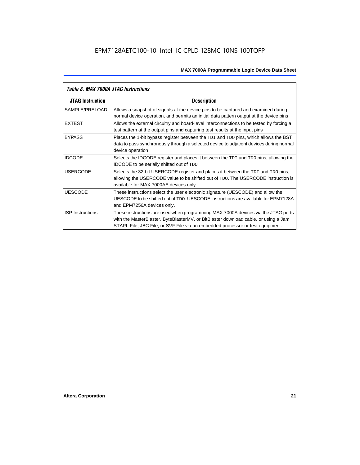| Table 8. MAX 7000A JTAG Instructions |                                                                                                                                                                                                                                                            |  |  |  |  |
|--------------------------------------|------------------------------------------------------------------------------------------------------------------------------------------------------------------------------------------------------------------------------------------------------------|--|--|--|--|
| <b>JTAG Instruction</b>              | <b>Description</b>                                                                                                                                                                                                                                         |  |  |  |  |
| SAMPLE/PRELOAD                       | Allows a snapshot of signals at the device pins to be captured and examined during<br>normal device operation, and permits an initial data pattern output at the device pins                                                                               |  |  |  |  |
| <b>EXTEST</b>                        | Allows the external circuitry and board-level interconnections to be tested by forcing a<br>test pattern at the output pins and capturing test results at the input pins                                                                                   |  |  |  |  |
| <b>BYPASS</b>                        | Places the 1-bit bypass register between the TDI and TDO pins, which allows the BST<br>data to pass synchronously through a selected device to adjacent devices during normal<br>device operation                                                          |  |  |  |  |
| <b>IDCODE</b>                        | Selects the IDCODE register and places it between the TDI and TDO pins, allowing the<br><b>IDCODE</b> to be serially shifted out of TDO                                                                                                                    |  |  |  |  |
| <b>USERCODE</b>                      | Selects the 32-bit USERCODE register and places it between the TDI and TDO pins,<br>allowing the USERCODE value to be shifted out of TDO. The USERCODE instruction is<br>available for MAX 7000AE devices only                                             |  |  |  |  |
| <b>UESCODE</b>                       | These instructions select the user electronic signature (UESCODE) and allow the<br>UESCODE to be shifted out of TDO, UESCODE instructions are available for EPM7128A<br>and EPM7256A devices only.                                                         |  |  |  |  |
| <b>ISP Instructions</b>              | These instructions are used when programming MAX 7000A devices via the JTAG ports<br>with the MasterBlaster, ByteBlasterMV, or BitBlaster download cable, or using a Jam<br>STAPL File, JBC File, or SVF File via an embedded processor or test equipment. |  |  |  |  |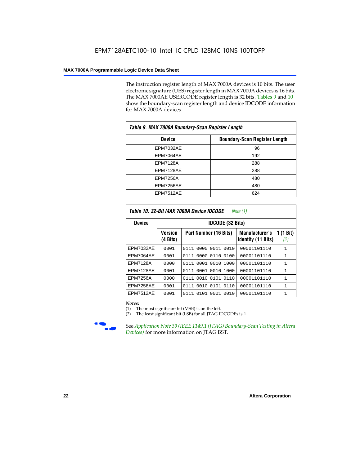The instruction register length of MAX 7000A devices is 10 bits. The user electronic signature (UES) register length in MAX 7000A devices is 16 bits. The MAX 7000AE USERCODE register length is 32 bits. Tables 9 and 10 show the boundary-scan register length and device IDCODE information for MAX 7000A devices.

| Table 9. MAX 7000A Boundary-Scan Register Length |                                      |  |  |  |  |
|--------------------------------------------------|--------------------------------------|--|--|--|--|
| <b>Device</b>                                    | <b>Boundary-Scan Register Length</b> |  |  |  |  |
| <b>EPM7032AE</b>                                 | 96                                   |  |  |  |  |
| EPM7064AE                                        | 192                                  |  |  |  |  |
| <b>EPM7128A</b>                                  | 288                                  |  |  |  |  |
| EPM7128AE                                        | 288                                  |  |  |  |  |
| <b>EPM7256A</b>                                  | 480                                  |  |  |  |  |
| EPM7256AE                                        | 480                                  |  |  |  |  |
| EPM7512AE                                        | 624                                  |  |  |  |  |

| Table 10. 32-Bit MAX 7000A Device IDCODE<br>Note $(1)$ |                                      |                              |                                                    |                               |  |  |  |  |  |
|--------------------------------------------------------|--------------------------------------|------------------------------|----------------------------------------------------|-------------------------------|--|--|--|--|--|
| <b>Device</b>                                          |                                      | <b>IDCODE (32 Bits)</b>      |                                                    |                               |  |  |  |  |  |
|                                                        | <b>Version</b><br>$(4 \text{ Bits})$ | Part Number (16 Bits)        | <b>Manufacturer's</b><br><b>Identity (11 Bits)</b> | $(1 \text{ Bit})$<br>1<br>(2) |  |  |  |  |  |
| <b>EPM7032AE</b>                                       | 0001                                 | 0111<br>0000<br>0011<br>0010 | 00001101110                                        | $\mathbf{1}$                  |  |  |  |  |  |
| EPM7064AE                                              | 0001                                 | 0000 0110<br>0100<br>0111    | 00001101110                                        | 1                             |  |  |  |  |  |
| <b>EPM7128A</b>                                        | 0000                                 | 0111 0001 0010 1000          | 00001101110                                        | $\mathbf{1}$                  |  |  |  |  |  |
| EPM7128AE                                              | 0001                                 | 0111 0001 0010 1000          | 00001101110                                        | $\mathbf{1}$                  |  |  |  |  |  |
| EPM7256A                                               | 0000                                 | 0111 0010 0101 0110          | 00001101110                                        | 1                             |  |  |  |  |  |
| EPM7256AE                                              | 0001                                 | 0010 0101<br>0110<br>0111    | 00001101110                                        | $\mathbf{1}$                  |  |  |  |  |  |
| <b>EPM7512AE</b>                                       | 0001                                 | 0101 0001<br>0111<br>0010    | 00001101110                                        | $\mathbf{1}$                  |  |  |  |  |  |

#### *Notes:*

(1) The most significant bit (MSB) is on the left.

(2) The least significant bit (LSB) for all JTAG IDCODEs is 1.



**Figure 39 (IEEE 1149.1 (JTAG) Boundary-Scan Testing in Altera** *Devices)* for more information on JTAG BST.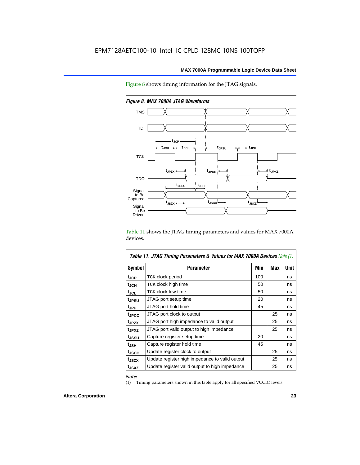



*Figure 8. MAX 7000A JTAG Waveforms*

Table 11 shows the JTAG timing parameters and values for MAX 7000A devices.

| <b>Table 11. JTAG Timing Parameters &amp; Values for MAX 7000A Devices Note (1)</b> |                                                |     |     |      |  |  |  |
|-------------------------------------------------------------------------------------|------------------------------------------------|-----|-----|------|--|--|--|
| Symbol                                                                              | <b>Parameter</b>                               | Min | Max | Unit |  |  |  |
| t <sub>JCP</sub>                                                                    | TCK clock period                               | 100 |     | ns   |  |  |  |
| t <sub>JCH</sub>                                                                    | TCK clock high time                            | 50  |     | ns   |  |  |  |
| tjcl                                                                                | TCK clock low time                             | 50  |     | ns   |  |  |  |
| tjpsu                                                                               | JTAG port setup time                           | 20  |     | ns   |  |  |  |
| t <sub>JPH</sub>                                                                    | JTAG port hold time                            | 45  |     | ns   |  |  |  |
| tjpco                                                                               | JTAG port clock to output                      |     | 25  | ns   |  |  |  |
| t <sub>JPZX</sub>                                                                   | JTAG port high impedance to valid output       |     | 25  | ns   |  |  |  |
| t <sub>JPXZ</sub>                                                                   | JTAG port valid output to high impedance       |     | 25  | ns   |  |  |  |
| tjssu                                                                               | Capture register setup time                    | 20  |     | ns   |  |  |  |
| t <sub>JSH</sub>                                                                    | Capture register hold time                     | 45  |     | ns   |  |  |  |
| t <sub>JSCO</sub>                                                                   | Update register clock to output                |     | 25  | ns   |  |  |  |
| t <sub>JSZX</sub>                                                                   | Update register high impedance to valid output |     | 25  | ns   |  |  |  |
| t <sub>JSXZ</sub>                                                                   | Update register valid output to high impedance |     | 25  | ns   |  |  |  |

*Note:*

(1) Timing parameters shown in this table apply for all specified VCCIO levels.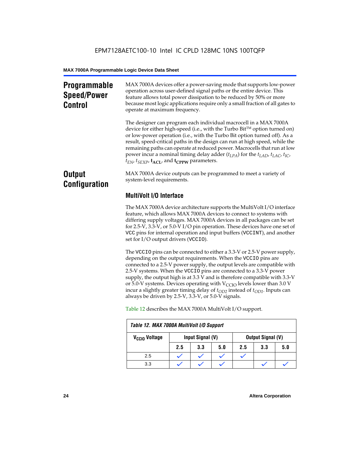### **Programmable Speed/Power Control**

MAX 7000A devices offer a power-saving mode that supports low-power operation across user-defined signal paths or the entire device. This feature allows total power dissipation to be reduced by 50% or more because most logic applications require only a small fraction of all gates to operate at maximum frequency.

The designer can program each individual macrocell in a MAX 7000A device for either high-speed (i.e., with the Turbo  $Bit^{TM}$  option turned on) or low-power operation (i.e., with the Turbo Bit option turned off). As a result, speed-critical paths in the design can run at high speed, while the remaining paths can operate at reduced power. Macrocells that run at low power incur a nominal timing delay adder (*tLPA*) for the *tLAD*, *tLAC*, *tIC*,  $t_{EN}$ ,  $t_{SEXP}$ ,  $t_{ACL}$ , and  $t_{CPPW}$  parameters.

### **Output Configuration**

MAX 7000A device outputs can be programmed to meet a variety of system-level requirements.

### **MultiVolt I/O Interface**

The MAX 7000A device architecture supports the MultiVolt I/O interface feature, which allows MAX 7000A devices to connect to systems with differing supply voltages. MAX 7000A devices in all packages can be set for 2.5-V, 3.3-V, or 5.0-V I/O pin operation. These devices have one set of VCC pins for internal operation and input buffers (VCCINT), and another set for I/O output drivers (VCCIO).

The VCCIO pins can be connected to either a 3.3-V or 2.5-V power supply, depending on the output requirements. When the VCCIO pins are connected to a 2.5-V power supply, the output levels are compatible with 2.5-V systems. When the VCCIO pins are connected to a 3.3-V power supply, the output high is at 3.3 V and is therefore compatible with 3.3-V or 5.0-V systems. Devices operating with  $V_{\text{CCIO}}$  levels lower than 3.0 V incur a slightly greater timing delay of  $t_{OD2}$  instead of  $t_{OD1}$ . Inputs can always be driven by 2.5-V, 3.3-V, or 5.0-V signals.

|                           | Table 12. MAX 7000A MultiVolt I/O Support |                  |     |     |                          |     |  |  |  |  |
|---------------------------|-------------------------------------------|------------------|-----|-----|--------------------------|-----|--|--|--|--|
| V <sub>CCIO</sub> Voltage |                                           | Input Signal (V) |     |     | <b>Output Signal (V)</b> |     |  |  |  |  |
|                           | 2.5                                       | 3.3              | 5.0 | 2.5 | 3.3                      | 5.0 |  |  |  |  |
| 2.5                       |                                           |                  |     |     |                          |     |  |  |  |  |
| 3.3                       |                                           |                  |     |     |                          |     |  |  |  |  |

Table 12 describes the MAX 7000A MultiVolt I/O support.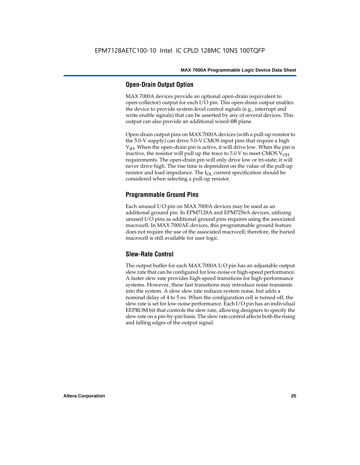#### **Open-Drain Output Option**

MAX 7000A devices provide an optional open-drain (equivalent to open-collector) output for each I/O pin. This open-drain output enables the device to provide system-level control signals (e.g., interrupt and write enable signals) that can be asserted by any of several devices. This output can also provide an additional wired-OR plane.

Open-drain output pins on MAX 7000A devices (with a pull-up resistor to the 5.0-V supply) can drive 5.0-V CMOS input pins that require a high  $V<sub>IH</sub>$ . When the open-drain pin is active, it will drive low. When the pin is inactive, the resistor will pull up the trace to  $5.0$  V to meet CMOS V<sub>OH</sub> requirements. The open-drain pin will only drive low or tri-state; it will never drive high. The rise time is dependent on the value of the pull-up resistor and load impedance. The  $I_{OL}$  current specification should be considered when selecting a pull-up resistor.

#### **Programmable Ground Pins**

Each unused I/O pin on MAX 7000A devices may be used as an additional ground pin. In EPM7128A and EPM7256A devices, utilizing unused I/O pins as additional ground pins requires using the associated macrocell. In MAX 7000AE devices, this programmable ground feature does not require the use of the associated macrocell; therefore, the buried macrocell is still available for user logic.

#### **Slew-Rate Control**

The output buffer for each MAX 7000A I/O pin has an adjustable output slew rate that can be configured for low-noise or high-speed performance. A faster slew rate provides high-speed transitions for high-performance systems. However, these fast transitions may introduce noise transients into the system. A slow slew rate reduces system noise, but adds a nominal delay of 4 to 5 ns. When the configuration cell is turned off, the slew rate is set for low-noise performance. Each I/O pin has an individual EEPROM bit that controls the slew rate, allowing designers to specify the slew rate on a pin-by-pin basis. The slew rate control affects both the rising and falling edges of the output signal.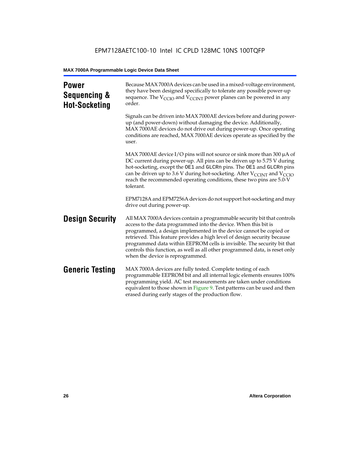| <b>Power</b><br>Sequencing &<br><b>Hot-Socketing</b> | Because MAX 7000A devices can be used in a mixed-voltage environment,<br>they have been designed specifically to tolerate any possible power-up<br>sequence. The $V_{\text{CCIO}}$ and $V_{\text{CCINT}}$ power planes can be powered in any<br>order.                                                                                                                                                                                                                                     |
|------------------------------------------------------|--------------------------------------------------------------------------------------------------------------------------------------------------------------------------------------------------------------------------------------------------------------------------------------------------------------------------------------------------------------------------------------------------------------------------------------------------------------------------------------------|
|                                                      | Signals can be driven into MAX 7000AE devices before and during power-<br>up (and power-down) without damaging the device. Additionally,<br>MAX 7000AE devices do not drive out during power-up. Once operating<br>conditions are reached, MAX 7000AE devices operate as specified by the<br>user.                                                                                                                                                                                         |
|                                                      | MAX 7000AE device I/O pins will not source or sink more than 300 $\mu$ A of<br>DC current during power-up. All pins can be driven up to 5.75 V during<br>hot-socketing, except the OE1 and GLCRn pins. The OE1 and GLCRn pins<br>can be driven up to 3.6 V during hot-socketing. After $V_{\text{CCINT}}$ and $V_{\text{CCIO}}$<br>reach the recommended operating conditions, these two pins are 5.0-V<br>tolerant.                                                                       |
|                                                      | EPM7128A and EPM7256A devices do not support hot-socketing and may<br>drive out during power-up.                                                                                                                                                                                                                                                                                                                                                                                           |
| <b>Design Security</b>                               | All MAX 7000A devices contain a programmable security bit that controls<br>access to the data programmed into the device. When this bit is<br>programmed, a design implemented in the device cannot be copied or<br>retrieved. This feature provides a high level of design security because<br>programmed data within EEPROM cells is invisible. The security bit that<br>controls this function, as well as all other programmed data, is reset only<br>when the device is reprogrammed. |
| <b>Generic Testing</b>                               | MAX 7000A devices are fully tested. Complete testing of each<br>programmable EEPROM bit and all internal logic elements ensures 100%<br>programming yield. AC test measurements are taken under conditions<br>equivalent to those shown in Figure 9. Test patterns can be used and then<br>erased during early stages of the production flow.                                                                                                                                              |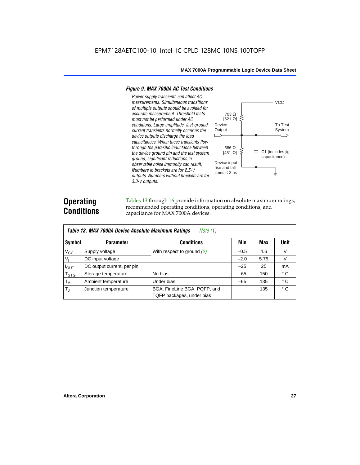#### *Figure 9. MAX 7000A AC Test Conditions*

*3.3-V outputs.*



### **Operating Conditions**

Tables 13 through 16 provide information on absolute maximum ratings, recommended operating conditions, operating conditions, and capacitance for MAX 7000A devices.

|                        | Table 13. MAX 7000A Device Absolute Maximum Ratings<br>Note $(1)$ |                                                           |        |      |              |  |  |  |  |  |  |
|------------------------|-------------------------------------------------------------------|-----------------------------------------------------------|--------|------|--------------|--|--|--|--|--|--|
| Symbol                 | <b>Parameter</b>                                                  | <b>Conditions</b>                                         | Min    | Max  | <b>Unit</b>  |  |  |  |  |  |  |
| $V_{CC}$               | Supply voltage                                                    | With respect to ground $(2)$                              | $-0.5$ | 4.6  | V            |  |  |  |  |  |  |
| $V_{I}$                | DC input voltage                                                  |                                                           | $-2.0$ | 5.75 | $\vee$       |  |  |  |  |  |  |
| $I_{OUT}$              | DC output current, per pin                                        |                                                           | $-25$  | 25   | mA           |  |  |  |  |  |  |
| <b>T<sub>STG</sub></b> | Storage temperature                                               | No bias                                                   | $-65$  | 150  | $^{\circ}$ C |  |  |  |  |  |  |
| $T_A$                  | Ambient temperature                                               | Under bias                                                | $-65$  | 135  | $^{\circ}$ C |  |  |  |  |  |  |
| $T_{\rm J}$            | Junction temperature                                              | BGA, FineLine BGA, PQFP, and<br>TQFP packages, under bias |        | 135  | $^{\circ}$ C |  |  |  |  |  |  |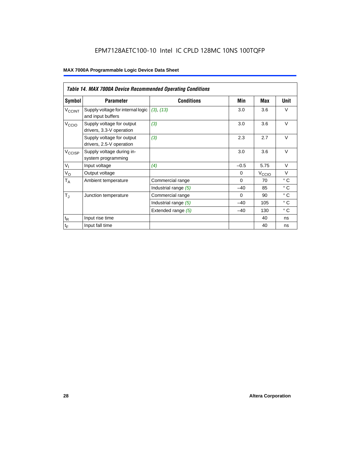### EPM7128AETC100-10 Intel IC CPLD 128MC 10NS 100TQFP

|                             | Table 14. MAX 7000A Device Recommended Operating Conditions |                      |          |                   |              |  |  |  |  |  |  |
|-----------------------------|-------------------------------------------------------------|----------------------|----------|-------------------|--------------|--|--|--|--|--|--|
| Symbol                      | <b>Parameter</b>                                            | <b>Conditions</b>    | Min      | Max               | Unit         |  |  |  |  |  |  |
| $V_{\rm CCINT}$             | Supply voltage for internal logic<br>and input buffers      | (3), (13)            | 3.0      | 3.6               | $\vee$       |  |  |  |  |  |  |
| V <sub>CCIO</sub>           | Supply voltage for output<br>drivers, 3.3-V operation       | (3)                  | 3.0      | 3.6               | $\vee$       |  |  |  |  |  |  |
|                             | Supply voltage for output<br>drivers, 2.5-V operation       | (3)                  | 2.3      | 2.7               | $\vee$       |  |  |  |  |  |  |
| $V_{\text{CCISP}}$          | Supply voltage during in-<br>system programming             |                      | 3.0      | 3.6               | $\vee$       |  |  |  |  |  |  |
| $V_{I}$                     | Input voltage                                               | (4)                  | $-0.5$   | 5.75              | $\vee$       |  |  |  |  |  |  |
| $V_{\rm O}$                 | Output voltage                                              |                      | $\Omega$ | V <sub>CCIO</sub> | $\vee$       |  |  |  |  |  |  |
| $\mathsf{T}_\mathsf{A}$     | Ambient temperature                                         | Commercial range     | $\Omega$ | 70                | $^{\circ}$ C |  |  |  |  |  |  |
|                             |                                                             | Industrial range (5) | $-40$    | 85                | $\circ$ C    |  |  |  |  |  |  |
| $T_{\rm J}$                 | Junction temperature                                        | Commercial range     | $\Omega$ | 90                | $^{\circ}$ C |  |  |  |  |  |  |
|                             |                                                             | Industrial range (5) | $-40$    | 105               | $^{\circ}$ C |  |  |  |  |  |  |
|                             |                                                             | Extended range (5)   | $-40$    | 130               | $^{\circ}$ C |  |  |  |  |  |  |
| $\mathfrak{t}_{\mathsf{R}}$ | Input rise time                                             |                      |          | 40                | ns           |  |  |  |  |  |  |
| $\mathfrak{t}_{\mathsf{F}}$ | Input fall time                                             |                      |          | 40                | ns           |  |  |  |  |  |  |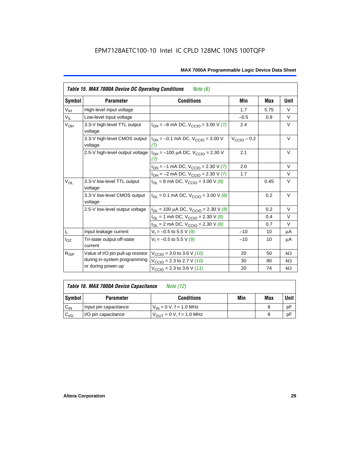|                  | <b>Table 15. MAX 7000A Device DC Operating Conditions</b> | Note (6)                                                                               |                 |      |           |
|------------------|-----------------------------------------------------------|----------------------------------------------------------------------------------------|-----------------|------|-----------|
| Symbol           | <b>Parameter</b>                                          | <b>Conditions</b>                                                                      | Min             | Max  | Unit      |
| V <sub>IH</sub>  | High-level input voltage                                  |                                                                                        | 1.7             | 5.75 | $\vee$    |
| $V_{IL}$         | Low-level input voltage                                   |                                                                                        | $-0.5$          | 0.8  | V         |
| $V_{OH}$         | 3.3-V high-level TTL output<br>voltage                    | $I_{OH} = -8$ mA DC, $V_{CCIO} = 3.00$ V (7)                                           | 2.4             |      | $\vee$    |
|                  | 3.3-V high-level CMOS output<br>voltage                   | $I_{OH} = -0.1$ mA DC, $V_{CClO} = 3.00$ V<br>(7)                                      | $V_{CCD}$ – 0.2 |      | $\vee$    |
|                  |                                                           | 2.5-V high-level output voltage $ I_{OH} = -100 \mu A DC$ , $V_{CClO} = 2.30 V$<br>(7) | 2.1             |      | V         |
|                  |                                                           | $I_{OH} = -1$ mA DC, $V_{CCIO} = 2.30$ V (7)                                           | 2.0             |      | $\vee$    |
|                  |                                                           | $I_{OH} = -2$ mA DC, $V_{CCIO} = 2.30$ V (7)                                           | 1.7             |      | $\vee$    |
| $V_{OL}$         | 3.3-V low-level TTL output<br>voltage                     | $I_{OL}$ = 8 mA DC, $V_{CCIO}$ = 3.00 V (8)                                            |                 | 0.45 | V         |
|                  | 3.3-V low-level CMOS output<br>voltage                    | $I_{\text{OI}} = 0.1 \text{ mA DC}$ , $V_{\text{CCl}} = 3.00 \text{ V}$ (8)            |                 | 0.2  | V         |
|                  | 2.5-V low-level output voltage                            | $I_{OL}$ = 100 µA DC, $V_{CCIO}$ = 2.30 V (8)                                          |                 | 0.2  | $\vee$    |
|                  |                                                           | $I_{OL}$ = 1 mA DC, $V_{CCIO}$ = 2.30 V (8)                                            |                 | 0.4  | $\vee$    |
|                  |                                                           | $I_{OL}$ = 2 mA DC, $V_{CCIO}$ = 2.30 V (8)                                            |                 | 0.7  | V         |
| $I_{\rm L}$      | Input leakage current                                     | $V_1 = -0.5$ to 5.5 V (9)                                                              | $-10$           | 10   | μA        |
| $I_{OZ}$         | Tri-state output off-state<br>current                     | $V_1 = -0.5$ to 5.5 V (9)                                                              | $-10$           | 10   | μA        |
| $R_{\text{ISP}}$ | Value of I/O pin pull-up resistor                         | $V_{\text{CCIO}}$ = 3.0 to 3.6 V (10)                                                  | 20              | 50   | $k\Omega$ |
|                  | during in-system programming                              | $V_{\text{CCIO}}$ = 2.3 to 2.7 V (10)                                                  | 30              | 80   | $k\Omega$ |
|                  | or during power-up                                        | $V_{\text{CCIO}} = 2.3$ to 3.6 V (11)                                                  | 20              | 74   | $k\Omega$ |

| Table 16. MAX 7000A Device Capacitance | Note (12) |
|----------------------------------------|-----------|
|                                        |           |

| Symbol    | <b>Parameter</b>      | <b>Conditions</b>                   | Min | Max | Unit |
|-----------|-----------------------|-------------------------------------|-----|-----|------|
| $C_{IN}$  | Input pin capacitance | $V_{IN} = 0$ V, f = 1.0 MHz         |     |     | рF   |
| $v_{1/0}$ | I/O pin capacitance   | $V_{\text{OUT}} = 0 V, f = 1.0 MHz$ |     |     | рF   |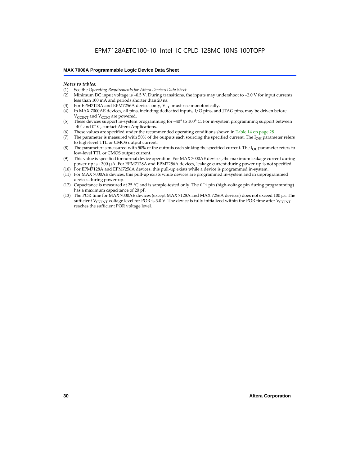#### *Notes to tables:*

- (1) See the *Operating Requirements for Altera Devices Data Sheet.*
- Minimum DC input voltage is –0.5 V. During transitions, the inputs may undershoot to –2.0 V for input currents less than 100 mA and periods shorter than 20 ns.
- (3) For EPM7128A and EPM7256A devices only,  $V_{CC}$  must rise monotonically.
- (4) In MAX 7000AE devices, all pins, including dedicated inputs, I/O pins, and JTAG pins, may be driven before V<sub>CCINT</sub> and V<sub>CCIO</sub> are powered.
- (5) These devices support in-system programming for –40° to 100° C. For in-system programming support between –40° and 0° C, contact Altera Applications.
- (6) These values are specified under the recommended operating conditions shown in Table 14 on page 28.
- (7) The parameter is measured with 50% of the outputs each sourcing the specified current. The  $I_{OH}$  parameter refers to high-level TTL or CMOS output current.
- (8) The parameter is measured with 50% of the outputs each sinking the specified current. The  $I_{OL}$  parameter refers to low-level TTL or CMOS output current.
- (9) This value is specified for normal device operation. For MAX 7000AE devices, the maximum leakage current during power-up is ±300 µA. For EPM7128A and EPM7256A devices, leakage current during power-up is not specified.
- (10) For EPM7128A and EPM7256A devices, this pull-up exists while a device is programmed in-system.
- (11) For MAX 7000AE devices, this pull-up exists while devices are programmed in-system and in unprogrammed devices during power-up.
- (12) Capacitance is measured at 25 °C and is sample-tested only. The OE1 pin (high-voltage pin during programming) has a maximum capacitance of 20 pF.
- (13) The POR time for MAX 7000AE devices (except MAX 7128A and MAX 7256A devices) does not exceed 100 µs. The sufficient V<sub>CCINT</sub> voltage level for POR is 3.0 V. The device is fully initialized within the POR time after V<sub>CCINT</sub> reaches the sufficient POR voltage level.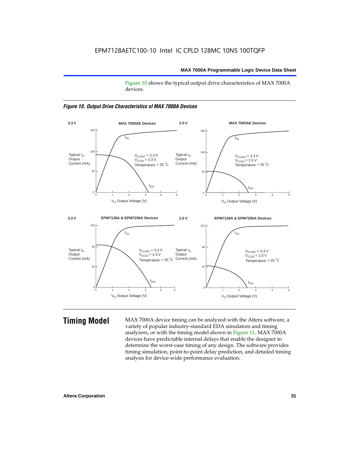Figure 10 shows the typical output drive characteristics of MAX 7000A devices.





**Timing Model** MAX 7000A device timing can be analyzed with the Altera software, a variety of popular industry-standard EDA simulators and timing analyzers, or with the timing model shown in Figure 11. MAX 7000A devices have predictable internal delays that enable the designer to determine the worst-case timing of any design. The software provides timing simulation, point-to-point delay prediction, and detailed timing analysis for device-wide performance evaluation.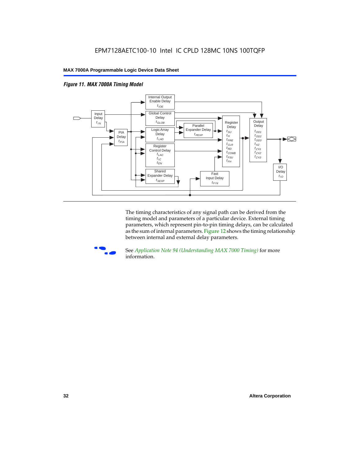



The timing characteristics of any signal path can be derived from the timing model and parameters of a particular device. External timing parameters, which represent pin-to-pin timing delays, can be calculated as the sum of internal parameters. Figure 12 shows the timing relationship between internal and external delay parameters.



f See *Application Note 94 (Understanding MAX 7000 Timing)* for more information.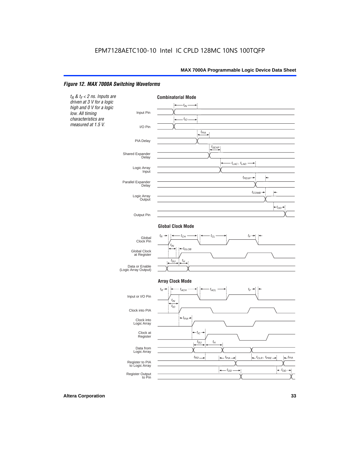#### *Figure 12. MAX 7000A Switching Waveforms*

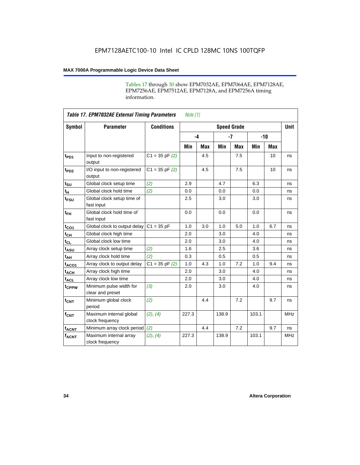Tables 17 through 30 show EPM7032AE, EPM7064AE, EPM7128AE, EPM7256AE, EPM7512AE, EPM7128A, and EPM7256A timing information.

|                         | <b>Table 17. EPM7032AE External Timing Parameters</b><br>Note $(1)$ |                    |       |            |                    |            |       |     |             |
|-------------------------|---------------------------------------------------------------------|--------------------|-------|------------|--------------------|------------|-------|-----|-------------|
| Symbol                  | <b>Parameter</b>                                                    | <b>Conditions</b>  |       |            | <b>Speed Grade</b> |            |       |     | <b>Unit</b> |
|                         |                                                                     |                    |       | $-4$       |                    | $-7$       | $-10$ |     |             |
|                         |                                                                     |                    | Min   | <b>Max</b> | Min                | <b>Max</b> | Min   | Max |             |
| t <sub>PD1</sub>        | Input to non-registered<br>output                                   | $C1 = 35$ pF $(2)$ |       | 4.5        |                    | 7.5        |       | 10  | ns          |
| $t_{PD2}$               | I/O input to non-registered<br>output                               | $C1 = 35 pF(2)$    |       | 4.5        |                    | 7.5        |       | 10  | ns          |
| $t_{\text{SU}}$         | Global clock setup time                                             | (2)                | 2.9   |            | 4.7                |            | 6.3   |     | ns          |
| $t_H$                   | Global clock hold time                                              | (2)                | 0.0   |            | 0.0                |            | 0.0   |     | ns          |
| t <sub>FSU</sub>        | Global clock setup time of<br>fast input                            |                    | 2.5   |            | 3.0                |            | 3.0   |     | ns          |
| $t_{FH}$                | Global clock hold time of<br>fast input                             |                    | 0.0   |            | 0.0                |            | 0.0   |     | ns          |
| $t_{CO1}$               | Global clock to output delay                                        | $C1 = 35 pF$       | 1.0   | 3.0        | 1.0                | 5.0        | 1.0   | 6.7 | ns          |
| $t_{CH}$                | Global clock high time                                              |                    | 2.0   |            | 3.0                |            | 4.0   |     | ns          |
| $t_{CL}$                | Global clock low time                                               |                    | 2.0   |            | 3.0                |            | 4.0   |     | ns          |
| t <sub>ASU</sub>        | Array clock setup time                                              | (2)                | 1.6   |            | 2.5                |            | 3.6   |     | ns          |
| t <sub>AH</sub>         | Array clock hold time                                               | (2)                | 0.3   |            | 0.5                |            | 0.5   |     | ns          |
| $t_{ACQ1}$              | Array clock to output delay                                         | $C1 = 35 pF(2)$    | 1.0   | 4.3        | 1.0                | 7.2        | 1.0   | 9.4 | ns          |
| $t_{ACH}$               | Array clock high time                                               |                    | 2.0   |            | 3.0                |            | 4.0   |     | ns          |
| $t_{\sf ACL}$           | Array clock low time                                                |                    | 2.0   |            | 3.0                |            | 4.0   |     | ns          |
| t <sub>CPPW</sub>       | Minimum pulse width for<br>clear and preset                         | (3)                | 2.0   |            | 3.0                |            | 4.0   |     | ns          |
| $t_{\text{CNT}}$        | Minimum global clock<br>period                                      | (2)                |       | 4.4        |                    | 7.2        |       | 9.7 | ns          |
| $f_{CNT}$               | Maximum internal global<br>clock frequency                          | (2), (4)           | 227.3 |            | 138.9              |            | 103.1 |     | <b>MHz</b>  |
| <b>t<sub>ACNT</sub></b> | Minimum array clock period                                          | (2)                |       | 4.4        |                    | 7.2        |       | 9.7 | ns          |
| <b>fACNT</b>            | Maximum internal array<br>clock frequency                           | (2), (4)           | 227.3 |            | 138.9              |            | 103.1 |     | <b>MHz</b>  |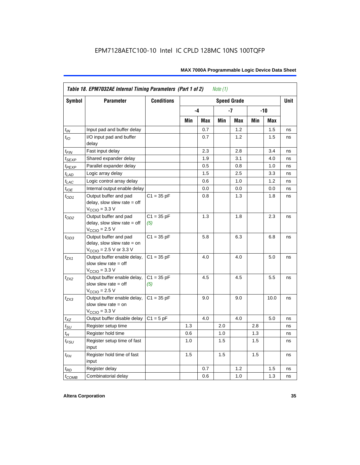|                   | Table 18. EPM7032AE Internal Timing Parameters (Part 1 of 2)<br>Note $(1)$                                   |                     |     |      |     |                    |       |      |             |  |
|-------------------|--------------------------------------------------------------------------------------------------------------|---------------------|-----|------|-----|--------------------|-------|------|-------------|--|
| Symbol            | <b>Parameter</b>                                                                                             | <b>Conditions</b>   |     |      |     | <b>Speed Grade</b> |       |      | <b>Unit</b> |  |
|                   |                                                                                                              |                     |     | $-4$ |     | -7                 | $-10$ |      |             |  |
|                   |                                                                                                              |                     | Min | Max  | Min | Max                | Min   | Max  |             |  |
| $t_{IN}$          | Input pad and buffer delay                                                                                   |                     |     | 0.7  |     | 1.2                |       | 1.5  | ns          |  |
| $t_{IO}$          | I/O input pad and buffer<br>delay                                                                            |                     |     | 0.7  |     | 1.2                |       | 1.5  | ns          |  |
| $t_{\sf FIN}$     | Fast input delay                                                                                             |                     |     | 2.3  |     | 2.8                |       | 3.4  | ns          |  |
| $t_{SEXP}$        | Shared expander delay                                                                                        |                     |     | 1.9  |     | 3.1                |       | 4.0  | ns          |  |
| t <sub>PEXP</sub> | Parallel expander delay                                                                                      |                     |     | 0.5  |     | 0.8                |       | 1.0  | ns          |  |
| $t_{LAD}$         | Logic array delay                                                                                            |                     |     | 1.5  |     | 2.5                |       | 3.3  | ns          |  |
| $t_{LAC}$         | Logic control array delay                                                                                    |                     |     | 0.6  |     | 1.0                |       | 1.2  | ns          |  |
| $t_{IOE}$         | Internal output enable delay                                                                                 |                     |     | 0.0  |     | 0.0                |       | 0.0  | ns          |  |
| $t_{OD1}$         | Output buffer and pad<br>delay, slow slew rate $=$ off<br>$V_{\text{CCIO}} = 3.3 \text{ V}$                  | $C1 = 35 pF$        |     | 0.8  |     | 1.3                |       | 1.8  | ns          |  |
| $t_{OD2}$         | Output buffer and pad<br>delay, slow slew rate $=$ off<br>$V_{\text{CCIO}}$ = 2.5 V                          | $C1 = 35 pF$<br>(5) |     | 1.3  |     | 1.8                |       | 2.3  | ns          |  |
| $t_{OD3}$         | Output buffer and pad<br>delay, slow slew rate $=$ on<br>$V_{\text{CCIO}} = 2.5 \text{ V or } 3.3 \text{ V}$ | $C1 = 35 pF$        |     | 5.8  |     | 6.3                |       | 6.8  | ns          |  |
| $t_{ZX1}$         | Output buffer enable delay,<br>slow slew rate $=$ off<br>$V_{\text{CCIO}} = 3.3 \text{ V}$                   | $C1 = 35 pF$        |     | 4.0  |     | 4.0                |       | 5.0  | ns          |  |
| t <sub>ZX2</sub>  | Output buffer enable delay,<br>slow slew rate $=$ off<br>$V_{\text{CCIO}}$ = 2.5 V                           | $C1 = 35 pF$<br>(5) |     | 4.5  |     | 4.5                |       | 5.5  | ns          |  |
| $t_{ZX3}$         | Output buffer enable delay,<br>slow slew rate $=$ on<br>$V_{\text{CCIO}} = 3.3 \text{ V}$                    | $C1 = 35 pF$        |     | 9.0  |     | 9.0                |       | 10.0 | ns          |  |
| $t_{XZ}$          | Output buffer disable delay                                                                                  | $C1 = 5 pF$         |     | 4.0  |     | 4.0                |       | 5.0  | ns          |  |
| $t_{\text{SU}}$   | Register setup time                                                                                          |                     | 1.3 |      | 2.0 |                    | 2.8   |      | ns          |  |
| $t_H$             | Register hold time                                                                                           |                     | 0.6 |      | 1.0 |                    | 1.3   |      | ns          |  |
| $t_{FSU}$         | Register setup time of fast<br>input                                                                         |                     | 1.0 |      | 1.5 |                    | 1.5   |      | ns          |  |
| $t_{FH}$          | Register hold time of fast<br>input                                                                          |                     | 1.5 |      | 1.5 |                    | 1.5   |      | ns          |  |
| $t_{RD}$          | Register delay                                                                                               |                     |     | 0.7  |     | 1.2                |       | 1.5  | ns          |  |
| $t_{COMB}$        | Combinatorial delay                                                                                          |                     |     | 0.6  |     | 1.0                |       | 1.3  | ns          |  |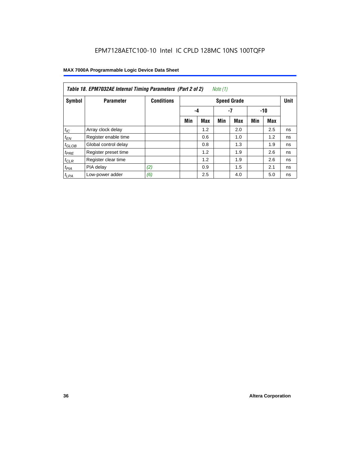|                   | Table 18. EPM7032AE Internal Timing Parameters (Part 2 of 2)<br>Note (1) |                   |     |                    |     |            |     |     |    |  |  |
|-------------------|--------------------------------------------------------------------------|-------------------|-----|--------------------|-----|------------|-----|-----|----|--|--|
| Symbol            | <b>Parameter</b>                                                         | <b>Conditions</b> |     | <b>Speed Grade</b> |     |            |     |     |    |  |  |
|                   |                                                                          |                   |     | -4                 |     | -7         |     | -10 |    |  |  |
|                   |                                                                          |                   | Min | Max                | Min | <b>Max</b> | Min | Max |    |  |  |
| $t_{\text{IC}}$   | Array clock delay                                                        |                   |     | 1.2                |     | 2.0        |     | 2.5 | ns |  |  |
| $t_{EN}$          | Register enable time                                                     |                   |     | 0.6                |     | 1.0        |     | 1.2 | ns |  |  |
| $t_{\text{GLOB}}$ | Global control delay                                                     |                   |     | 0.8                |     | 1.3        |     | 1.9 | ns |  |  |
| $t_{PRE}$         | Register preset time                                                     |                   |     | 1.2                |     | 1.9        |     | 2.6 | ns |  |  |
| $t_{CLR}$         | Register clear time                                                      |                   |     | 1.2                |     | 1.9        |     | 2.6 | ns |  |  |
| $t_{PIA}$         | PIA delay                                                                | (2)               |     | 0.9                |     | 1.5        |     | 2.1 | ns |  |  |
| $t_{LPA}$         | Low-power adder                                                          | (6)               |     | 2.5                |     | 4.0        |     | 5.0 | ns |  |  |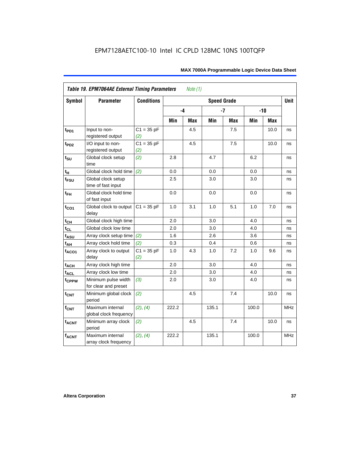| Symbol            | <b>Parameter</b>                            | <b>Conditions</b>   |       |     | <b>Speed Grade</b> |            |       |            | <b>Unit</b> |
|-------------------|---------------------------------------------|---------------------|-------|-----|--------------------|------------|-------|------------|-------------|
|                   |                                             |                     | -4    |     |                    | $-7$       |       | $-10$      |             |
|                   |                                             |                     | Min   | Max | Min                | <b>Max</b> | Min   | <b>Max</b> |             |
| $t_{PD1}$         | Input to non-<br>registered output          | $C1 = 35 pF$<br>(2) |       | 4.5 |                    | 7.5        |       | 10.0       | ns          |
| t <sub>PD2</sub>  | I/O input to non-<br>registered output      | $C1 = 35 pF$<br>(2) |       | 4.5 |                    | 7.5        |       | 10.0       | ns          |
| $t_{\text{SU}}$   | Global clock setup<br>time                  | (2)                 | 2.8   |     | 4.7                |            | 6.2   |            | ns          |
| tμ                | Global clock hold time                      | (2)                 | 0.0   |     | 0.0                |            | 0.0   |            | ns          |
| $t_{FSU}$         | Global clock setup<br>time of fast input    |                     | 2.5   |     | 3.0                |            | 3.0   |            | ns          |
| $t_{FH}$          | Global clock hold time<br>of fast input     |                     | 0.0   |     | 0.0                |            | 0.0   |            | ns          |
| $t_{CO1}$         | Global clock to output<br>delay             | $C1 = 35 pF$        | 1.0   | 3.1 | 1.0                | 5.1        | 1.0   | 7.0        | ns          |
| $t_{CH}$          | Global clock high time                      |                     | 2.0   |     | 3.0                |            | 4.0   |            | ns          |
| $t_{CL}$          | Global clock low time                       |                     | 2.0   |     | 3.0                |            | 4.0   |            | ns          |
| t <sub>ASU</sub>  | Array clock setup time                      | (2)                 | 1.6   |     | 2.6                |            | 3.6   |            | ns          |
| $t_{AH}$          | Array clock hold time                       | (2)                 | 0.3   |     | 0.4                |            | 0.6   |            | ns          |
| t <sub>ACO1</sub> | Array clock to output<br>delay              | $C1 = 35 pF$<br>(2) | 1.0   | 4.3 | 1.0                | 7.2        | 1.0   | 9.6        | ns          |
| $t_{ACH}$         | Array clock high time                       |                     | 2.0   |     | 3.0                |            | 4.0   |            | ns          |
| t <sub>ACL</sub>  | Array clock low time                        |                     | 2.0   |     | 3.0                |            | 4.0   |            | ns          |
| t <sub>CPPW</sub> | Minimum pulse width<br>for clear and preset | (3)                 | 2.0   |     | 3.0                |            | 4.0   |            | ns          |
| $t_{\text{CNT}}$  | Minimum global clock<br>period              | (2)                 |       | 4.5 |                    | 7.4        |       | 10.0       | ns          |
| $f_{CNT}$         | Maximum internal<br>global clock frequency  | (2), (4)            | 222.2 |     | 135.1              |            | 100.0 |            | <b>MHz</b>  |
| $t_{ACNT}$        | Minimum array clock<br>period               | (2)                 |       | 4.5 |                    | 7.4        |       | 10.0       | ns          |
| <b>fACNT</b>      | Maximum internal<br>array clock frequency   | (2), (4)            | 222.2 |     | 135.1              |            | 100.0 |            | <b>MHz</b>  |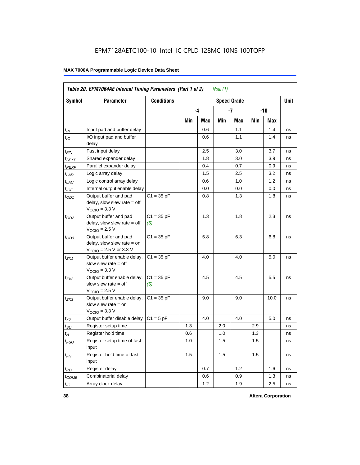|                   | Table 20. EPM7064AE Internal Timing Parameters (Part 1 of 2)                                                 |                     |     |      | Note $(1)$ |                    |     |       |             |
|-------------------|--------------------------------------------------------------------------------------------------------------|---------------------|-----|------|------------|--------------------|-----|-------|-------------|
| <b>Symbol</b>     | <b>Parameter</b>                                                                                             | <b>Conditions</b>   |     |      |            | <b>Speed Grade</b> |     |       | <b>Unit</b> |
|                   |                                                                                                              |                     |     | $-4$ |            | -7                 |     | $-10$ |             |
|                   |                                                                                                              |                     | Min | Max  | Min        | Max                | Min | Max   |             |
| $t_{IN}$          | Input pad and buffer delay                                                                                   |                     |     | 0.6  |            | 1.1                |     | 1.4   | ns          |
| $t_{IO}$          | I/O input pad and buffer<br>delay                                                                            |                     |     | 0.6  |            | 1.1                |     | 1.4   | ns          |
| $t_{FIN}$         | Fast input delay                                                                                             |                     |     | 2.5  |            | 3.0                |     | 3.7   | ns          |
| t <sub>SEXP</sub> | Shared expander delay                                                                                        |                     |     | 1.8  |            | 3.0                |     | 3.9   | ns          |
| t <sub>PEXP</sub> | Parallel expander delay                                                                                      |                     |     | 0.4  |            | 0.7                |     | 0.9   | ns          |
| $t_{LAD}$         | Logic array delay                                                                                            |                     |     | 1.5  |            | 2.5                |     | 3.2   | ns          |
| $t_{LAC}$         | Logic control array delay                                                                                    |                     |     | 0.6  |            | 1.0                |     | 1.2   | ns          |
| $t_{IOE}$         | Internal output enable delay                                                                                 |                     |     | 0.0  |            | 0.0                |     | 0.0   | ns          |
| $t_{OD1}$         | Output buffer and pad<br>delay, slow slew rate $=$ off<br>$V_{\text{CCIO}} = 3.3 \text{ V}$                  | $C1 = 35 pF$        |     | 0.8  |            | 1.3                |     | 1.8   | ns          |
| $t_{OD2}$         | Output buffer and pad<br>delay, slow slew rate $=$ off<br>$V_{\text{CCIO}}$ = 2.5 V                          | $C1 = 35 pF$<br>(5) |     | 1.3  |            | 1.8                |     | 2.3   | ns          |
| $t_{OD3}$         | Output buffer and pad<br>delay, slow slew rate $=$ on<br>$V_{\text{CCIO}} = 2.5 \text{ V or } 3.3 \text{ V}$ | $C1 = 35 pF$        |     | 5.8  |            | 6.3                |     | 6.8   | ns          |
| $t_{ZX1}$         | Output buffer enable delay,<br>slow slew rate $=$ off<br>$V_{\text{CCIO}} = 3.3 \text{ V}$                   | $C1 = 35 pF$        |     | 4.0  |            | 4.0                |     | 5.0   | ns          |
| $t_{ZX2}$         | Output buffer enable delay,<br>slow slew rate $=$ off<br>$V_{\text{CCIO}} = 2.5 V$                           | $C1 = 35 pF$<br>(5) |     | 4.5  |            | 4.5                |     | 5.5   | ns          |
| $t_{ZX3}$         | Output buffer enable delay,<br>slow slew rate $=$ on<br>$V_{\text{CCIO}} = 3.3 \text{ V}$                    | $C1 = 35 pF$        |     | 9.0  |            | 9.0                |     | 10.0  | ns          |
| $t_{XZ}$          | Output buffer disable delay                                                                                  | $C1 = 5pF$          |     | 4.0  |            | 4.0                |     | 5.0   | ns          |
| $t_{\text{SU}}$   | Register setup time                                                                                          |                     | 1.3 |      | 2.0        |                    | 2.9 |       | ns          |
| $t_H$             | Register hold time                                                                                           |                     | 0.6 |      | 1.0        |                    | 1.3 |       | ns          |
| $t_{FSU}$         | Register setup time of fast<br>input                                                                         |                     | 1.0 |      | 1.5        |                    | 1.5 |       | ns          |
| $t_{FH}$          | Register hold time of fast<br>input                                                                          |                     | 1.5 |      | 1.5        |                    | 1.5 |       | ns          |
| $t_{RD}$          | Register delay                                                                                               |                     |     | 0.7  |            | 1.2                |     | 1.6   | ns          |
| $t_{COMB}$        | Combinatorial delay                                                                                          |                     |     | 0.6  |            | 0.9                |     | 1.3   | ns          |
| $t_{IC}$          | Array clock delay                                                                                            |                     |     | 1.2  |            | 1.9                |     | 2.5   | ns          |

**38 Altera Corporation**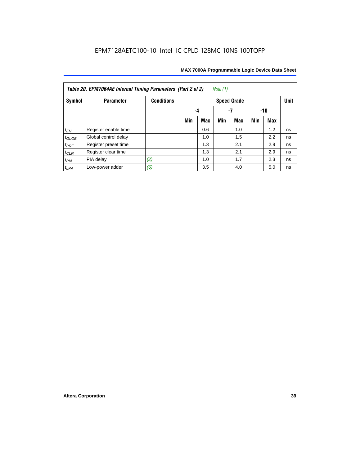| Note $(1)$<br>Table 20. EPM7064AE Internal Timing Parameters (Part 2 of 2) |                      |                   |     |            |     |                    |     |     |             |  |  |
|----------------------------------------------------------------------------|----------------------|-------------------|-----|------------|-----|--------------------|-----|-----|-------------|--|--|
| Symbol                                                                     | <b>Parameter</b>     | <b>Conditions</b> |     |            |     | <b>Speed Grade</b> |     |     | <b>Unit</b> |  |  |
|                                                                            |                      |                   | -4  |            |     |                    |     |     |             |  |  |
|                                                                            |                      |                   | Min | <b>Max</b> | Min | <b>Max</b>         | Min | Max |             |  |  |
| $t_{EN}$                                                                   | Register enable time |                   |     | 0.6        |     | 1.0                |     | 1.2 | ns          |  |  |
| $t_{\text{GLOB}}$                                                          | Global control delay |                   |     | 1.0        |     | 1.5                |     | 2.2 | ns          |  |  |
| $t_{PRE}$                                                                  | Register preset time |                   |     | 1.3        |     | 2.1                |     | 2.9 | ns          |  |  |
| $t_{CLR}$                                                                  | Register clear time  |                   |     | 1.3        |     | 2.1                |     | 2.9 | ns          |  |  |
| $t_{PIA}$                                                                  | PIA delay            | (2)               |     | 1.0        |     | 1.7                |     | 2.3 | ns          |  |  |
| $t_{LPA}$                                                                  | Low-power adder      | (6)               |     | 3.5        |     | 4.0                |     | 5.0 | ns          |  |  |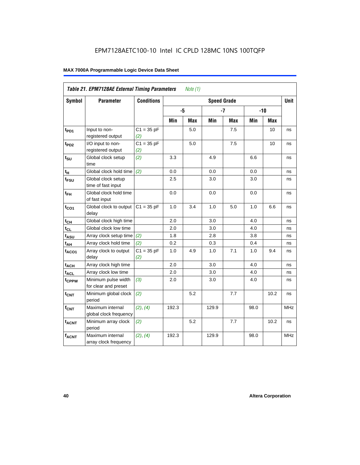|                   | <b>Table 21. EPM7128AE External Timing Parameters</b> |                     |       | Note $(1)$ |                    |            |      |            |            |
|-------------------|-------------------------------------------------------|---------------------|-------|------------|--------------------|------------|------|------------|------------|
| Symbol            | <b>Parameter</b>                                      | <b>Conditions</b>   |       |            | <b>Speed Grade</b> |            |      |            | Unit       |
|                   |                                                       |                     | -5    |            |                    | $-7$       |      | $-10$      |            |
|                   |                                                       |                     | Min   | <b>Max</b> | Min                | <b>Max</b> | Min  | <b>Max</b> |            |
| t <sub>PD1</sub>  | Input to non-<br>registered output                    | $C1 = 35 pF$<br>(2) |       | 5.0        |                    | 7.5        |      | 10         | ns         |
| t <sub>PD2</sub>  | I/O input to non-<br>registered output                | $C1 = 35 pF$<br>(2) |       | 5.0        |                    | 7.5        |      | 10         | ns         |
| $t_{\text{SU}}$   | Global clock setup<br>time                            | (2)                 | 3.3   |            | 4.9                |            | 6.6  |            | ns         |
| $t_H$             | Global clock hold time                                | (2)                 | 0.0   |            | 0.0                |            | 0.0  |            | ns         |
| t <sub>FSU</sub>  | Global clock setup<br>time of fast input              |                     | 2.5   |            | 3.0                |            | 3.0  |            | ns         |
| $t_{FH}$          | Global clock hold time<br>of fast input               |                     | 0.0   |            | 0.0                |            | 0.0  |            | ns         |
| $t_{CO1}$         | Global clock to output<br>delay                       | $C1 = 35 pF$        | 1.0   | 3.4        | $1.0$              | 5.0        | 1.0  | 6.6        | ns         |
| $t_{CH}$          | Global clock high time                                |                     | 2.0   |            | 3.0                |            | 4.0  |            | ns         |
| $t_{CL}$          | Global clock low time                                 |                     | 2.0   |            | 3.0                |            | 4.0  |            | ns         |
| $t_{ASU}$         | Array clock setup time                                | (2)                 | 1.8   |            | 2.8                |            | 3.8  |            | ns         |
| $t_{AH}$          | Array clock hold time                                 | (2)                 | 0.2   |            | 0.3                |            | 0.4  |            | ns         |
| $t_{ACO1}$        | Array clock to output<br>delay                        | $C1 = 35 pF$<br>(2) | 1.0   | 4.9        | 1.0                | 7.1        | 1.0  | 9.4        | ns         |
| t <sub>ACH</sub>  | Array clock high time                                 |                     | 2.0   |            | 3.0                |            | 4.0  |            | ns         |
| t <sub>ACL</sub>  | Array clock low time                                  |                     | 2.0   |            | 3.0                |            | 4.0  |            | ns         |
| t <sub>CPPW</sub> | Minimum pulse width<br>for clear and preset           | (3)                 | 2.0   |            | 3.0                |            | 4.0  |            | ns         |
| $t_{\text{CNT}}$  | Minimum global clock<br>period                        | (2)                 |       | 5.2        |                    | 7.7        |      | 10.2       | ns         |
| $f_{CNT}$         | Maximum internal<br>global clock frequency            | (2), (4)            | 192.3 |            | 129.9              |            | 98.0 |            | <b>MHz</b> |
| $t_{ACNT}$        | Minimum array clock<br>period                         | (2)                 |       | 5.2        |                    | 7.7        |      | 10.2       | ns         |
| <b>fACNT</b>      | Maximum internal<br>array clock frequency             | (2), (4)            | 192.3 |            | 129.9              |            | 98.0 |            | <b>MHz</b> |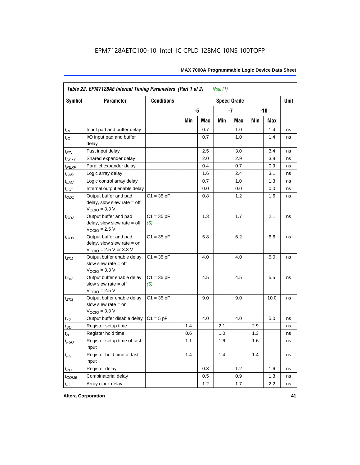|                    | Table 22. EPM7128AE Internal Timing Parameters (Part 1 of 2)                                |                     |     |     | Note $(1)$ |                    |     |       |             |
|--------------------|---------------------------------------------------------------------------------------------|---------------------|-----|-----|------------|--------------------|-----|-------|-------------|
| Symbol             | <b>Parameter</b>                                                                            | <b>Conditions</b>   |     |     |            | <b>Speed Grade</b> |     |       | <b>Unit</b> |
|                    |                                                                                             |                     |     | -5  |            | $-7$               |     | $-10$ |             |
|                    |                                                                                             |                     | Min | Max | Min        | Max                | Min | Max   |             |
| $t_{IN}$           | Input pad and buffer delay                                                                  |                     |     | 0.7 |            | 1.0                |     | 1.4   | ns          |
| $t_{IO}$           | I/O input pad and buffer<br>delay                                                           |                     |     | 0.7 |            | $1.0\,$            |     | 1.4   | ns          |
| $t_{\mathsf{FIN}}$ | Fast input delay                                                                            |                     |     | 2.5 |            | 3.0                |     | 3.4   | ns          |
| $t_{SEXP}$         | Shared expander delay                                                                       |                     |     | 2.0 |            | 2.9                |     | 3.8   | ns          |
| $t_{PEXP}$         | Parallel expander delay                                                                     |                     |     | 0.4 |            | 0.7                |     | 0.9   | ns          |
| $t_{LAD}$          | Logic array delay                                                                           |                     |     | 1.6 |            | 2.4                |     | 3.1   | ns          |
| $t_{LAC}$          | Logic control array delay                                                                   |                     |     | 0.7 |            | 1.0                |     | 1.3   | ns          |
| $t_{IOE}$          | Internal output enable delay                                                                |                     |     | 0.0 |            | 0.0                |     | 0.0   | ns          |
| $t_{OD1}$          | Output buffer and pad<br>delay, slow slew rate $=$ off<br>$V_{\text{CCIO}} = 3.3 \text{ V}$ | $C1 = 35 pF$        |     | 0.8 |            | 1.2                |     | 1.6   | ns          |
| $t_{OD2}$          | Output buffer and pad<br>delay, slow slew rate $=$ off<br>$V_{\text{CCIO}}$ = 2.5 V         | $C1 = 35 pF$<br>(5) |     | 1.3 |            | 1.7                |     | 2.1   | ns          |
| $t_{OD3}$          | Output buffer and pad<br>delay, slow slew rate $=$ on<br>$V_{\text{CCIO}}$ = 2.5 V or 3.3 V | $C1 = 35 pF$        |     | 5.8 |            | 6.2                |     | 6.6   | ns          |
| $t_{ZX1}$          | Output buffer enable delay,<br>slow slew rate $=$ off<br>$V_{\text{CCIO}} = 3.3 \text{ V}$  | $C1 = 35 pF$        |     | 4.0 |            | 4.0                |     | 5.0   | ns          |
| $t_{7X2}$          | Output buffer enable delay,<br>slow slew rate $=$ off<br>$V_{\text{CCIO}} = 2.5 V$          | $C1 = 35 pF$<br>(5) |     | 4.5 |            | 4.5                |     | 5.5   | ns          |
| $t_{ZX3}$          | Output buffer enable delay,<br>slow slew rate $=$ on<br>$V_{\text{CCIO}} = 3.3 \text{ V}$   | $C1 = 35 pF$        |     | 9.0 |            | 9.0                |     | 10.0  | ns          |
| $t_{XZ}$           | Output buffer disable delay                                                                 | $C1 = 5pF$          |     | 4.0 |            | 4.0                |     | 5.0   | ns          |
| $t_{\text{SU}}$    | Register setup time                                                                         |                     | 1.4 |     | 2.1        |                    | 2.9 |       | ns          |
| $t_H$              | Register hold time                                                                          |                     | 0.6 |     | 1.0        |                    | 1.3 |       | ns          |
| $t_{FSU}$          | Register setup time of fast<br>input                                                        |                     | 1.1 |     | 1.6        |                    | 1.6 |       | ns          |
| $t_{FH}$           | Register hold time of fast<br>input                                                         |                     | 1.4 |     | 1.4        |                    | 1.4 |       | ns          |
| $t_{RD}$           | Register delay                                                                              |                     |     | 0.8 |            | 1.2                |     | 1.6   | ns          |
| $t_{COMB}$         | Combinatorial delay                                                                         |                     |     | 0.5 |            | 0.9                |     | 1.3   | ns          |
| $t_{IC}$           | Array clock delay                                                                           |                     |     | 1.2 |            | 1.7                |     | 2.2   | ns          |

**Altera Corporation 41**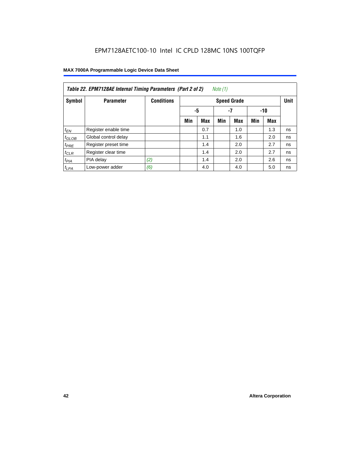| Note (1)<br>Table 22. EPM7128AE Internal Timing Parameters (Part 2 of 2) |                      |                   |     |                 |     |                    |     |            |             |  |  |  |
|--------------------------------------------------------------------------|----------------------|-------------------|-----|-----------------|-----|--------------------|-----|------------|-------------|--|--|--|
| Symbol                                                                   | <b>Parameter</b>     | <b>Conditions</b> |     |                 |     | <b>Speed Grade</b> |     |            | <b>Unit</b> |  |  |  |
|                                                                          |                      |                   |     | -5<br>-7<br>-10 |     |                    |     |            |             |  |  |  |
|                                                                          |                      |                   | Min | <b>Max</b>      | Min | <b>Max</b>         | Min | <b>Max</b> |             |  |  |  |
| $t_{EN}$                                                                 | Register enable time |                   |     | 0.7             |     | 1.0                |     | 1.3        | ns          |  |  |  |
| $t_{GLOB}$                                                               | Global control delay |                   |     | 1.1             |     | 1.6                |     | 2.0        | ns          |  |  |  |
| $t_{PRE}$                                                                | Register preset time |                   |     | 1.4             |     | 2.0                |     | 2.7        | ns          |  |  |  |
| $t_{CLR}$                                                                | Register clear time  |                   |     | 1.4             |     | 2.0                |     | 2.7        | ns          |  |  |  |
| $t_{PIA}$                                                                | PIA delay            | (2)               |     | 1.4             |     | 2.0                |     | 2.6        | ns          |  |  |  |
| $t_{LPA}$                                                                | Low-power adder      | (6)               |     | 4.0             |     | 4.0                |     | 5.0        | ns          |  |  |  |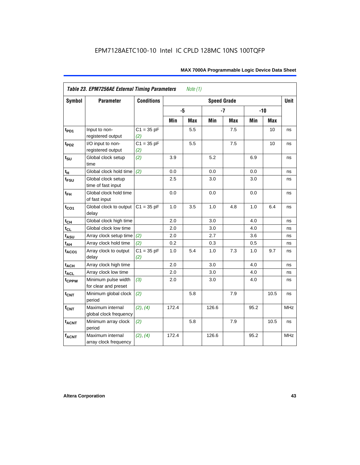| Symbol                      | <b>Parameter</b>                            | <b>Conditions</b>   | <b>Speed Grade</b> |     |       |            |      |       |            |  |  |
|-----------------------------|---------------------------------------------|---------------------|--------------------|-----|-------|------------|------|-------|------------|--|--|
|                             |                                             |                     | -5                 |     |       | $-7$       |      | $-10$ |            |  |  |
|                             |                                             |                     | Min                | Max | Min   | <b>Max</b> | Min  | Max   |            |  |  |
| $t_{PD1}$                   | Input to non-<br>registered output          | $C1 = 35 pF$<br>(2) |                    | 5.5 |       | 7.5        |      | 10    | ns         |  |  |
| $t_{PD2}$                   | I/O input to non-<br>registered output      | $C1 = 35 pF$<br>(2) |                    | 5.5 |       | 7.5        |      | 10    | ns         |  |  |
| $t_{\scriptstyle\text{SU}}$ | Global clock setup<br>time                  | (2)                 | 3.9                |     | 5.2   |            | 6.9  |       | ns         |  |  |
| $t_H$                       | Global clock hold time                      | (2)                 | 0.0                |     | 0.0   |            | 0.0  |       | ns         |  |  |
| t <sub>FSU</sub>            | Global clock setup<br>time of fast input    |                     | 2.5                |     | 3.0   |            | 3.0  |       | ns         |  |  |
| $t_{FH}$                    | Global clock hold time<br>of fast input     |                     | 0.0                |     | 0.0   |            | 0.0  |       | ns         |  |  |
| $t_{CO1}$                   | Global clock to output<br>delay             | $C1 = 35 pF$        | 1.0                | 3.5 | 1.0   | 4.8        | 1.0  | 6.4   | ns         |  |  |
| $t_{CH}$                    | Global clock high time                      |                     | 2.0                |     | 3.0   |            | 4.0  |       | ns         |  |  |
| $t_{CL}$                    | Global clock low time                       |                     | 2.0                |     | 3.0   |            | 4.0  |       | ns         |  |  |
| t <sub>ASU</sub>            | Array clock setup time                      | (2)                 | 2.0                |     | 2.7   |            | 3.6  |       | ns         |  |  |
| $t_{AH}$                    | Array clock hold time                       | (2)                 | 0.2                |     | 0.3   |            | 0.5  |       | ns         |  |  |
| t <sub>ACO1</sub>           | Array clock to output<br>delay              | $C1 = 35 pF$<br>(2) | 1.0                | 5.4 | 1.0   | 7.3        | 1.0  | 9.7   | ns         |  |  |
| $t_{ACH}$                   | Array clock high time                       |                     | 2.0                |     | 3.0   |            | 4.0  |       | ns         |  |  |
| t <sub>ACL</sub>            | Array clock low time                        |                     | 2.0                |     | 3.0   |            | 4.0  |       | ns         |  |  |
| t <sub>CPPW</sub>           | Minimum pulse width<br>for clear and preset | (3)                 | 2.0                |     | 3.0   |            | 4.0  |       | ns         |  |  |
| $t_{\text{CNT}}$            | Minimum global clock<br>period              | (2)                 |                    | 5.8 |       | 7.9        |      | 10.5  | ns         |  |  |
| $f_{CNT}$                   | Maximum internal<br>global clock frequency  | (2), (4)            | 172.4              |     | 126.6 |            | 95.2 |       | <b>MHz</b> |  |  |
| $t_{ACNT}$                  | Minimum array clock<br>period               | (2)                 |                    | 5.8 |       | 7.9        |      | 10.5  | ns         |  |  |
| <b>fACNT</b>                | Maximum internal<br>array clock frequency   | (2), (4)            | 172.4              |     | 126.6 |            | 95.2 |       | <b>MHz</b> |  |  |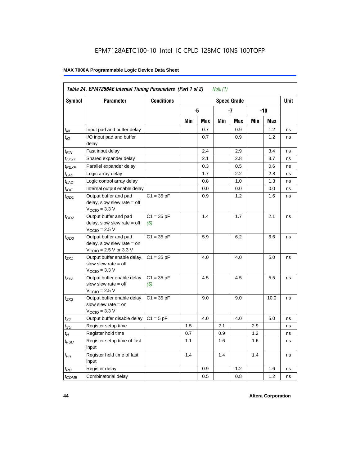| Symbol                      | <b>Parameter</b>                                                                                             | <b>Conditions</b>   |     |     |     | <b>Speed Grade</b> |     |      | <b>Unit</b> |
|-----------------------------|--------------------------------------------------------------------------------------------------------------|---------------------|-----|-----|-----|--------------------|-----|------|-------------|
|                             |                                                                                                              |                     |     | -5  |     | -7                 |     | -10  |             |
|                             |                                                                                                              |                     | Min | Max | Min | Max                | Min | Max  |             |
| $t_{IN}$                    | Input pad and buffer delay                                                                                   |                     |     | 0.7 |     | 0.9                |     | 1.2  | ns          |
| $t_{IO}$                    | I/O input pad and buffer<br>delay                                                                            |                     |     | 0.7 |     | 0.9                |     | 1.2  | ns          |
| t <sub>FIN</sub>            | Fast input delay                                                                                             |                     |     | 2.4 |     | 2.9                |     | 3.4  | ns          |
| $t_{SEXP}$                  | Shared expander delay                                                                                        |                     |     | 2.1 |     | 2.8                |     | 3.7  | ns          |
| t <sub>PEXP</sub>           | Parallel expander delay                                                                                      |                     |     | 0.3 |     | 0.5                |     | 0.6  | ns          |
| $t_{LAD}$                   | Logic array delay                                                                                            |                     |     | 1.7 |     | 2.2                |     | 2.8  | ns          |
| $t_{LAC}$                   | Logic control array delay                                                                                    |                     |     | 0.8 |     | 1.0                |     | 1.3  | ns          |
| $t_{IOE}$                   | Internal output enable delay                                                                                 |                     |     | 0.0 |     | 0.0                |     | 0.0  | ns          |
| $t_{OD1}$                   | Output buffer and pad<br>delay, slow slew rate $=$ off<br>$V_{\text{CCIO}} = 3.3 \text{ V}$                  | $C1 = 35 pF$        |     | 0.9 |     | 1.2                |     | 1.6  | ns          |
| $t_{OD2}$                   | Output buffer and pad<br>delay, slow slew rate $=$ off<br>$V_{\text{CCIO}}$ = 2.5 V                          | $C1 = 35 pF$<br>(5) |     | 1.4 |     | 1.7                |     | 2.1  | ns          |
| $t_{OD3}$                   | Output buffer and pad<br>delay, slow slew rate $=$ on<br>$V_{\text{CCIO}} = 2.5 \text{ V or } 3.3 \text{ V}$ | $C1 = 35 pF$        |     | 5.9 |     | 6.2                |     | 6.6  | ns          |
| t <sub>ZX1</sub>            | Output buffer enable delay,<br>slow slew rate $=$ off<br>$V_{\text{CCIO}} = 3.3 \text{ V}$                   | $C1 = 35 pF$        |     | 4.0 |     | 4.0                |     | 5.0  | ns          |
| t <sub>ZX2</sub>            | Output buffer enable delay,<br>slow slew rate $=$ off<br>$V_{\text{CCIO}} = 2.5 V$                           | $C1 = 35 pF$<br>(5) |     | 4.5 |     | 4.5                |     | 5.5  | ns          |
| $t_{ZX3}$                   | Output buffer enable delay,<br>slow slew rate $=$ on<br>$VCCIO = 3.3 V$                                      | $C1 = 35 pF$        |     | 9.0 |     | 9.0                |     | 10.0 | ns          |
| $t_{XZ}$                    | Output buffer disable delay                                                                                  | $C1 = 5pF$          |     | 4.0 |     | 4.0                |     | 5.0  | ns          |
| $t_{\scriptstyle\text{SU}}$ | Register setup time                                                                                          |                     | 1.5 |     | 2.1 |                    | 2.9 |      | ns          |
| $t_H$                       | Register hold time                                                                                           |                     | 0.7 |     | 0.9 |                    | 1.2 |      | ns          |
| $t_{\it FSU}$               | Register setup time of fast<br>input                                                                         |                     | 1.1 |     | 1.6 |                    | 1.6 |      | ns          |
| $t_{FH}$                    | Register hold time of fast<br>input                                                                          |                     | 1.4 |     | 1.4 |                    | 1.4 |      | ns          |
| $t_{RD}$                    | Register delay                                                                                               |                     |     | 0.9 |     | 1.2                |     | 1.6  | ns          |
| $t_{\text{COMB}}$           | Combinatorial delay                                                                                          |                     |     | 0.5 |     | 0.8                |     | 1.2  | ns          |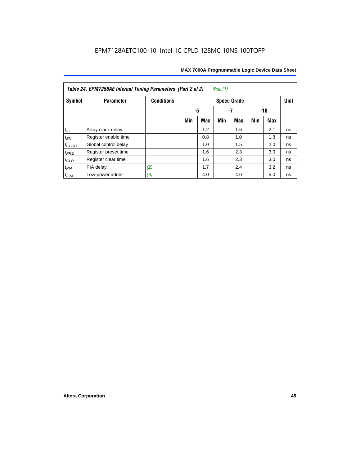| Table 24. EPM7256AE Internal Timing Parameters (Part 2 of 2)<br>Note (1) |                      |                   |     |                 |     |                    |     |     |             |  |  |
|--------------------------------------------------------------------------|----------------------|-------------------|-----|-----------------|-----|--------------------|-----|-----|-------------|--|--|
| Symbol                                                                   | <b>Parameter</b>     | <b>Conditions</b> |     |                 |     | <b>Speed Grade</b> |     |     | <b>Unit</b> |  |  |
|                                                                          |                      |                   |     | -5<br>-7<br>-10 |     |                    |     |     |             |  |  |
|                                                                          |                      |                   | Min | <b>Max</b>      | Min | <b>Max</b>         | Min | Max |             |  |  |
| $t_{\mathit{IC}}$                                                        | Array clock delay    |                   |     | 1.2             |     | 1.6                |     | 2.1 | ns          |  |  |
| $t_{\mathsf{EN}}$                                                        | Register enable time |                   |     | 0.8             |     | 1.0                |     | 1.3 | ns          |  |  |
| $t_{GLOB}$                                                               | Global control delay |                   |     | 1.0             |     | 1.5                |     | 2.0 | ns          |  |  |
| $t_{PRE}$                                                                | Register preset time |                   |     | 1.6             |     | 2.3                |     | 3.0 | ns          |  |  |
| $t_{CLR}$                                                                | Register clear time  |                   |     | 1.6             |     | 2.3                |     | 3.0 | ns          |  |  |
| $t_{PIA}$                                                                | PIA delay            | (2)               |     | 1.7             |     | 2.4                |     | 3.2 | ns          |  |  |
| $t_{LPA}$                                                                | Low-power adder      | (6)               |     | 4.0             |     | 4.0                |     | 5.0 | ns          |  |  |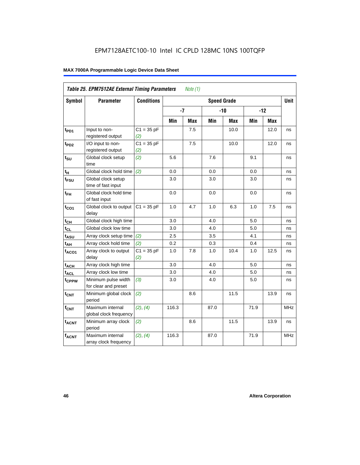|                   | Table 25. EPM7512AE External Timing Parameters |                     |       | Note $(1)$ |                    |            |      |            |             |
|-------------------|------------------------------------------------|---------------------|-------|------------|--------------------|------------|------|------------|-------------|
| Symbol            | <b>Parameter</b>                               | <b>Conditions</b>   |       |            | <b>Speed Grade</b> |            |      |            | <b>Unit</b> |
|                   |                                                |                     | $-7$  |            |                    | $-10$      |      | $-12$      |             |
|                   |                                                |                     | Min   | <b>Max</b> | Min                | <b>Max</b> | Min  | <b>Max</b> |             |
| t <sub>PD1</sub>  | Input to non-<br>registered output             | $C1 = 35 pF$<br>(2) |       | 7.5        |                    | 10.0       |      | 12.0       | ns          |
| t <sub>PD2</sub>  | I/O input to non-<br>registered output         | $C1 = 35 pF$<br>(2) |       | 7.5        |                    | 10.0       |      | 12.0       | ns          |
| $t_{\text{SU}}$   | Global clock setup<br>time                     | (2)                 | 5.6   |            | 7.6                |            | 9.1  |            | ns          |
| tμ                | Global clock hold time                         | (2)                 | 0.0   |            | 0.0                |            | 0.0  |            | ns          |
| t <sub>FSU</sub>  | Global clock setup<br>time of fast input       |                     | 3.0   |            | 3.0                |            | 3.0  |            | ns          |
| $t_{FH}$          | Global clock hold time<br>of fast input        |                     | 0.0   |            | 0.0                |            | 0.0  |            | ns          |
| $t_{CO1}$         | Global clock to output<br>delay                | $C1 = 35 pF$        | 1.0   | 4.7        | 1.0                | 6.3        | 1.0  | 7.5        | ns          |
| $t_{CH}$          | Global clock high time                         |                     | 3.0   |            | 4.0                |            | 5.0  |            | ns          |
| $t_{CL}$          | Global clock low time                          |                     | 3.0   |            | 4.0                |            | 5.0  |            | ns          |
| $t_{ASU}$         | Array clock setup time                         | (2)                 | 2.5   |            | 3.5                |            | 4.1  |            | ns          |
| $t_{AH}$          | Array clock hold time                          | (2)                 | 0.2   |            | 0.3                |            | 0.4  |            | ns          |
| $t_{ACO1}$        | Array clock to output<br>delay                 | $C1 = 35 pF$<br>(2) | 1.0   | 7.8        | 1.0                | 10.4       | 1.0  | 12.5       | ns          |
| $t_{ACH}$         | Array clock high time                          |                     | 3.0   |            | 4.0                |            | 5.0  |            | ns          |
| $t_{\text{ACL}}$  | Array clock low time                           |                     | 3.0   |            | 4.0                |            | 5.0  |            | ns          |
| t <sub>CPPW</sub> | Minimum pulse width<br>for clear and preset    | (3)                 | 3.0   |            | 4.0                |            | 5.0  |            | ns          |
| t <sub>CNT</sub>  | Minimum global clock<br>period                 | (2)                 |       | 8.6        |                    | 11.5       |      | 13.9       | ns          |
| $f_{CNT}$         | Maximum internal<br>global clock frequency     | (2), (4)            | 116.3 |            | 87.0               |            | 71.9 |            | <b>MHz</b>  |
| $t_{ACNT}$        | Minimum array clock<br>period                  | (2)                 |       | 8.6        |                    | 11.5       |      | 13.9       | ns          |
| <b>fACNT</b>      | Maximum internal<br>array clock frequency      | (2), (4)            | 116.3 |            | 87.0               |            | 71.9 |            | <b>MHz</b>  |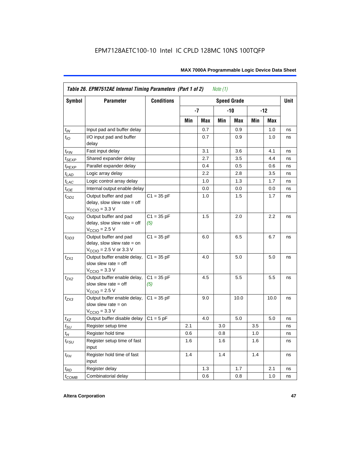|                    | Table 26. EPM7512AE Internal Timing Parameters (Part 1 of 2)                                                 |                     |     |            | Note $(1)$ |                    |     |       |             |
|--------------------|--------------------------------------------------------------------------------------------------------------|---------------------|-----|------------|------------|--------------------|-----|-------|-------------|
| Symbol             | <b>Parameter</b>                                                                                             | <b>Conditions</b>   |     |            |            | <b>Speed Grade</b> |     |       | <b>Unit</b> |
|                    |                                                                                                              |                     |     | -7         |            | -10                |     | $-12$ |             |
|                    |                                                                                                              |                     | Min | <b>Max</b> | Min        | Max                | Min | Max   |             |
| $t_{IN}$           | Input pad and buffer delay                                                                                   |                     |     | 0.7        |            | 0.9                |     | 1.0   | ns          |
| $t_{IO}$           | I/O input pad and buffer<br>delay                                                                            |                     |     | 0.7        |            | 0.9                |     | 1.0   | ns          |
| $t_{\sf FIN}$      | Fast input delay                                                                                             |                     |     | 3.1        |            | 3.6                |     | 4.1   | ns          |
| $t_{SEXP}$         | Shared expander delay                                                                                        |                     |     | 2.7        |            | 3.5                |     | 4.4   | ns          |
| t <sub>PEXP</sub>  | Parallel expander delay                                                                                      |                     |     | 0.4        |            | 0.5                |     | 0.6   | ns          |
| $t_{LAD}$          | Logic array delay                                                                                            |                     |     | 2.2        |            | 2.8                |     | 3.5   | ns          |
| $t_{LAC}$          | Logic control array delay                                                                                    |                     |     | 1.0        |            | 1.3                |     | 1.7   | ns          |
| $t_{IOE}$          | Internal output enable delay                                                                                 |                     |     | 0.0        |            | 0.0                |     | 0.0   | ns          |
| $t_{OD1}$          | Output buffer and pad<br>delay, slow slew rate $=$ off<br>$V_{\text{CCIO}} = 3.3 \text{ V}$                  | $C1 = 35 pF$        |     | 1.0        |            | 1.5                |     | 1.7   | ns          |
| $t_{OD2}$          | Output buffer and pad<br>delay, slow slew rate $=$ off<br>$V_{\text{CCIO}}$ = 2.5 V                          | $C1 = 35 pF$<br>(5) |     | 1.5        |            | 2.0                |     | 2.2   | ns          |
| $t_{OD3}$          | Output buffer and pad<br>delay, slow slew rate $=$ on<br>$V_{\text{CCIO}} = 2.5 \text{ V or } 3.3 \text{ V}$ | $C1 = 35 pF$        |     | 6.0        |            | 6.5                |     | 6.7   | ns          |
| $t_{ZX1}$          | Output buffer enable delay,<br>slow slew rate $=$ off<br>$V_{\text{CCIO}} = 3.3 \text{ V}$                   | $C1 = 35 pF$        |     | 4.0        |            | 5.0                |     | 5.0   | ns          |
| $t_{ZX2}$          | Output buffer enable delay,<br>slow slew rate $=$ off<br>$V_{\text{CCIO}}$ = 2.5 V                           | $C1 = 35 pF$<br>(5) |     | 4.5        |            | 5.5                |     | 5.5   | ns          |
| $t_{ZX3}$          | Output buffer enable delay,<br>slow slew rate $=$ on<br>$V_{\text{CCIO}} = 3.3 \text{ V}$                    | $C1 = 35 pF$        |     | 9.0        |            | 10.0               |     | 10.0  | ns          |
| $t_{\mathsf{XZ}}$  | Output buffer disable delay                                                                                  | $C1 = 5pF$          |     | 4.0        |            | 5.0                |     | 5.0   | ns          |
| $t_{\text{SU}}$    | Register setup time                                                                                          |                     | 2.1 |            | 3.0        |                    | 3.5 |       | ns          |
| $t_H$              | Register hold time                                                                                           |                     | 0.6 |            | 0.8        |                    | 1.0 |       | ns          |
| $t_{\mathit{FSU}}$ | Register setup time of fast<br>input                                                                         |                     | 1.6 |            | 1.6        |                    | 1.6 |       | ns          |
| $t_{FH}$           | Register hold time of fast<br>input                                                                          |                     | 1.4 |            | 1.4        |                    | 1.4 |       | ns          |
| $t_{RD}$           | Register delay                                                                                               |                     |     | 1.3        |            | 1.7                |     | 2.1   | ns          |
| $t_{COMB}$         | Combinatorial delay                                                                                          |                     |     | 0.6        |            | 0.8                |     | 1.0   | ns          |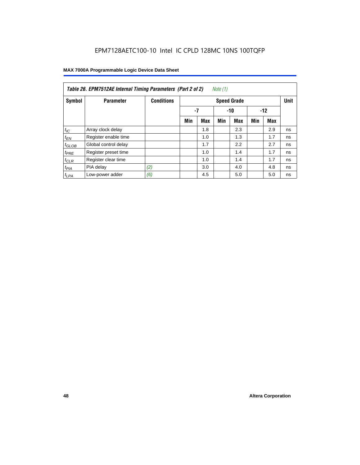| Table 26. EPM7512AE Internal Timing Parameters (Part 2 of 2)<br>Note (1) |                      |                   |     |             |     |                    |     |     |             |  |  |
|--------------------------------------------------------------------------|----------------------|-------------------|-----|-------------|-----|--------------------|-----|-----|-------------|--|--|
| Symbol                                                                   | <b>Parameter</b>     | <b>Conditions</b> |     |             |     | <b>Speed Grade</b> |     |     | <b>Unit</b> |  |  |
|                                                                          |                      |                   |     | -7<br>$-10$ |     |                    |     |     |             |  |  |
|                                                                          |                      |                   | Min | Max         | Min | Max                | Min | Max |             |  |  |
| $t_{IC}$                                                                 | Array clock delay    |                   |     | 1.8         |     | 2.3                |     | 2.9 | ns          |  |  |
| $t_{EN}$                                                                 | Register enable time |                   |     | 1.0         |     | 1.3                |     | 1.7 | ns          |  |  |
| $t_{\text{GLOB}}$                                                        | Global control delay |                   |     | 1.7         |     | 2.2                |     | 2.7 | ns          |  |  |
| $t_{PRE}$                                                                | Register preset time |                   |     | 1.0         |     | 1.4                |     | 1.7 | ns          |  |  |
| $t_{CLR}$                                                                | Register clear time  |                   |     | 1.0         |     | 1.4                |     | 1.7 | ns          |  |  |
| $t_{PIA}$                                                                | PIA delay            | (2)               |     | 3.0         |     | 4.0                |     | 4.8 | ns          |  |  |
| $t_{LPA}$                                                                | Low-power adder      | (6)               |     | 4.5         |     | 5.0                |     | 5.0 | ns          |  |  |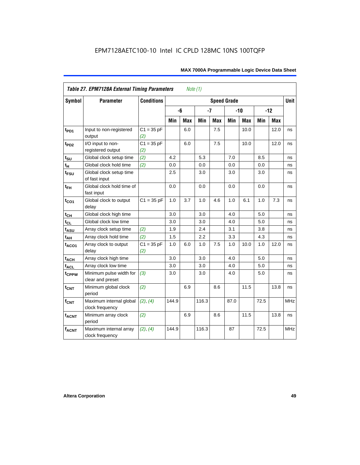|                           | <b>Table 27. EPM7128A External Timing Parameters</b> |                     |       | Note (1)   |       |            |                    |            |      |       |             |
|---------------------------|------------------------------------------------------|---------------------|-------|------------|-------|------------|--------------------|------------|------|-------|-------------|
| <b>Symbol</b>             | <b>Parameter</b>                                     | <b>Conditions</b>   |       |            |       |            | <b>Speed Grade</b> |            |      |       | <b>Unit</b> |
|                           |                                                      |                     |       | -6         | $-7$  |            |                    | $-10$      |      | $-12$ |             |
|                           |                                                      |                     | Min   | <b>Max</b> | Min   | <b>Max</b> | Min                | <b>Max</b> | Min  | Max   |             |
| t <sub>PD1</sub>          | Input to non-registered<br>output                    | $C1 = 35 pF$<br>(2) |       | 6.0        |       | 7.5        |                    | 10.0       |      | 12.0  | ns          |
| t <sub>PD2</sub>          | I/O input to non-<br>registered output               | $C1 = 35 pF$<br>(2) |       | 6.0        |       | 7.5        |                    | 10.0       |      | 12.0  | ns          |
| $t_{\text{SU}}$           | Global clock setup time                              | (2)                 | 4.2   |            | 5.3   |            | 7.0                |            | 8.5  |       | ns          |
| t <sub>H</sub>            | Global clock hold time                               | (2)                 | 0.0   |            | 0.0   |            | 0.0                |            | 0.0  |       | ns          |
| t <sub>FSU</sub>          | Global clock setup time<br>of fast input             |                     | 2.5   |            | 3.0   |            | 3.0                |            | 3.0  |       | ns          |
| $t_{FH}$                  | Global clock hold time of<br>fast input              |                     | 0.0   |            | 0.0   |            | 0.0                |            | 0.0  |       | ns          |
| $t_{CO1}$                 | Global clock to output<br>delay                      | $C1 = 35 pF$        | 1.0   | 3.7        | 1.0   | 4.6        | 1.0                | 6.1        | 1.0  | 7.3   | ns          |
| $t_{\mathsf{CH}}$         | Global clock high time                               |                     | 3.0   |            | 3.0   |            | 4.0                |            | 5.0  |       | ns          |
| $t_{CL}$                  | Global clock low time                                |                     | 3.0   |            | 3.0   |            | 4.0                |            | 5.0  |       | ns          |
| t <sub>ASU</sub>          | Array clock setup time                               | (2)                 | 1.9   |            | 2.4   |            | 3.1                |            | 3.8  |       | ns          |
| t <sub>АН</sub>           | Array clock hold time                                | (2)                 | 1.5   |            | 2.2   |            | 3.3                |            | 4.3  |       | ns          |
| t <sub>ACO1</sub>         | Array clock to output<br>delay                       | $C1 = 35 pF$<br>(2) | 1.0   | 6.0        | 1.0   | 7.5        | 1.0                | 10.0       | 1.0  | 12.0  | ns          |
| $t_{ACH}$                 | Array clock high time                                |                     | 3.0   |            | 3.0   |            | 4.0                |            | 5.0  |       | ns          |
| $\mathfrak{t}_{\sf{ACL}}$ | Array clock low time                                 |                     | 3.0   |            | 3.0   |            | 4.0                |            | 5.0  |       | ns          |
| t <sub>CPPW</sub>         | Minimum pulse width for<br>clear and preset          | (3)                 | 3.0   |            | 3.0   |            | 4.0                |            | 5.0  |       | ns          |
| $t_{\text{CNT}}$          | Minimum global clock<br>period                       | (2)                 |       | 6.9        |       | 8.6        |                    | 11.5       |      | 13.8  | ns          |
| $f_{\text{CNT}}$          | Maximum internal global<br>clock frequency           | (2), (4)            | 144.9 |            | 116.3 |            | 87.0               |            | 72.5 |       | <b>MHz</b>  |
| $t_{ACNT}$                | Minimum array clock<br>period                        | (2)                 |       | 6.9        |       | 8.6        |                    | 11.5       |      | 13.8  | ns          |
| <b>fACNT</b>              | Maximum internal array<br>clock frequency            | (2), (4)            | 144.9 |            | 116.3 |            | 87                 |            | 72.5 |       | <b>MHz</b>  |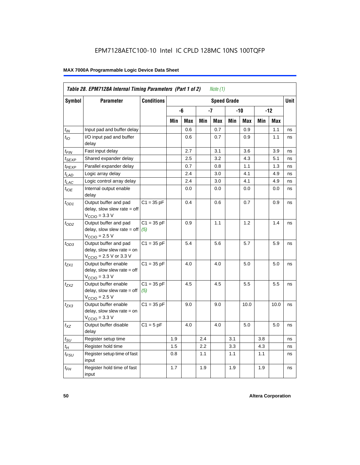|                             | Table 28. EPM7128A Internal Timing Parameters (Part 1 of 2)                                                |                     |     |     |     | Note (1) |                    |      |     |            |             |
|-----------------------------|------------------------------------------------------------------------------------------------------------|---------------------|-----|-----|-----|----------|--------------------|------|-----|------------|-------------|
| <b>Symbol</b>               | <b>Parameter</b>                                                                                           | <b>Conditions</b>   |     |     |     |          | <b>Speed Grade</b> |      |     |            | <b>Unit</b> |
|                             |                                                                                                            |                     |     | -6  |     | -7       |                    | -10  |     | $-12$      |             |
|                             |                                                                                                            |                     | Min | Max | Min | Max      | Min                | Max  | Min | <b>Max</b> |             |
| $t_{IN}$                    | Input pad and buffer delay                                                                                 |                     |     | 0.6 |     | 0.7      |                    | 0.9  |     | 1.1        | ns          |
| $t_{IO}$                    | I/O input pad and buffer<br>delay                                                                          |                     |     | 0.6 |     | 0.7      |                    | 0.9  |     | 1.1        | ns          |
| t <sub>FIN</sub>            | Fast input delay                                                                                           |                     |     | 2.7 |     | 3.1      |                    | 3.6  |     | 3.9        | ns          |
| t <sub>SEXP</sub>           | Shared expander delay                                                                                      |                     |     | 2.5 |     | 3.2      |                    | 4.3  |     | 5.1        | ns          |
| t <sub>PEXP</sub>           | Parallel expander delay                                                                                    |                     |     | 0.7 |     | 0.8      |                    | 1.1  |     | 1.3        | ns          |
| $t_{LAD}$                   | Logic array delay                                                                                          |                     |     | 2.4 |     | 3.0      |                    | 4.1  |     | 4.9        | ns          |
| $t_{LAC}$                   | Logic control array delay                                                                                  |                     |     | 2.4 |     | 3.0      |                    | 4.1  |     | 4.9        | ns          |
| $t_{\text{IOE}}$            | Internal output enable<br>delay                                                                            |                     |     | 0.0 |     | 0.0      |                    | 0.0  |     | 0.0        | ns          |
| $t_{OD1}$                   | Output buffer and pad<br>delay, slow slew rate = off<br>$VCCIO = 3.3 V$                                    | $C1 = 35 pF$        |     | 0.4 |     | 0.6      |                    | 0.7  |     | 0.9        | ns          |
| $t_{OD2}$                   | Output buffer and pad<br>delay, slow slew rate = off<br>$VCCIO = 2.5 V$                                    | $C1 = 35 pF$<br>(5) |     | 0.9 |     | 1.1      |                    | 1.2  |     | 1.4        | ns          |
| $t_{OD3}$                   | Output buffer and pad<br>delay, slow slew rate = on<br>$V_{\text{CCIO}} = 2.5 \text{ V or } 3.3 \text{ V}$ | $C1 = 35 pF$        |     | 5.4 |     | 5.6      |                    | 5.7  |     | 5.9        | ns          |
| t <sub>ZX1</sub>            | Output buffer enable<br>$delay$ , slow slew rate = off<br>$VCCIO = 3.3 V$                                  | $C1 = 35 pF$        |     | 4.0 |     | 4.0      |                    | 5.0  |     | 5.0        | ns          |
| $t_{ZX2}$                   | Output buffer enable<br>$delay$ , slow slew rate = off<br>$VCCIO = 2.5 V$                                  | $C1 = 35 pF$<br>(5) |     | 4.5 |     | 4.5      |                    | 5.5  |     | 5.5        | ns          |
| t <sub>ZX3</sub>            | Output buffer enable<br>delay, slow slew rate = on<br>$VCCIO = 3.3 V$                                      | $C1 = 35 pF$        |     | 9.0 |     | 9.0      |                    | 10.0 |     | 10.0       | ns          |
| $t_{XZ}$                    | Output buffer disable<br>delay                                                                             | $C1 = 5$ pF         |     | 4.0 |     | 4.0      |                    | 5.0  |     | 5.0        | ns          |
| $t_{\scriptstyle\text{SU}}$ | Register setup time                                                                                        |                     | 1.9 |     | 2.4 |          | 3.1                |      | 3.8 |            | ns          |
| $t_{\mathcal{H}}$           | Register hold time                                                                                         |                     | 1.5 |     | 2.2 |          | 3.3                |      | 4.3 |            | ns          |
| $t_{\mathsf{FSU}}$          | Register setup time of fast<br>input                                                                       |                     | 0.8 |     | 1.1 |          | 1.1                |      | 1.1 |            | ns          |
| $t_{FH}$                    | Register hold time of fast<br>input                                                                        |                     | 1.7 |     | 1.9 |          | 1.9                |      | 1.9 |            | ns          |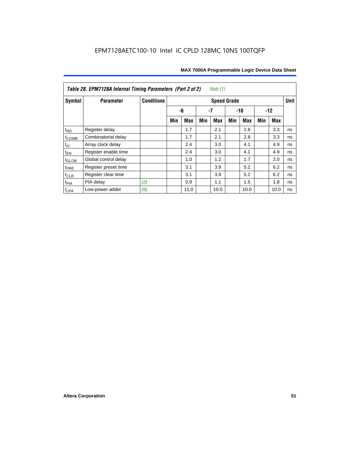| <i>Note</i> $(1)$<br>Table 28. EPM7128A Internal Timing Parameters (Part 2 of 2) |                      |                   |                    |      |     |            |       |            |       |             |    |
|----------------------------------------------------------------------------------|----------------------|-------------------|--------------------|------|-----|------------|-------|------------|-------|-------------|----|
| Symbol                                                                           | <b>Parameter</b>     | <b>Conditions</b> | <b>Speed Grade</b> |      |     |            |       |            |       | <b>Unit</b> |    |
|                                                                                  |                      |                   |                    | -6   | -7  |            | $-10$ |            | $-12$ |             |    |
|                                                                                  |                      |                   | Min                | Max  | Min | <b>Max</b> | Min   | <b>Max</b> | Min   | Max         |    |
| $t_{RD}$                                                                         | Register delay       |                   |                    | 1.7  |     | 2.1        |       | 2.8        |       | 3.3         | ns |
| $t_{COMB}$                                                                       | Combinatorial delay  |                   |                    | 1.7  |     | 2.1        |       | 2.8        |       | 3.3         | ns |
| $t_{IC}$                                                                         | Array clock delay    |                   |                    | 2.4  |     | 3.0        |       | 4.1        |       | 4.9         | ns |
| $t_{EN}$                                                                         | Register enable time |                   |                    | 2.4  |     | 3.0        |       | 4.1        |       | 4.9         | ns |
| $t_{\text{GLOB}}$                                                                | Global control delay |                   |                    | 1.0  |     | 1.2        |       | 1.7        |       | 2.0         | ns |
| $t_{PRE}$                                                                        | Register preset time |                   |                    | 3.1  |     | 3.9        |       | 5.2        |       | 6.2         | ns |
| $t_{CLR}$                                                                        | Register clear time  |                   |                    | 3.1  |     | 3.9        |       | 5.2        |       | 6.2         | ns |
| $t_{PIA}$                                                                        | PIA delay            | (2)               |                    | 0.9  |     | 1.1        |       | 1.5        |       | 1.8         | ns |
| $t_{LPA}$                                                                        | Low-power adder      | (6)               |                    | 11.0 |     | 10.0       |       | 10.0       |       | 10.0        | ns |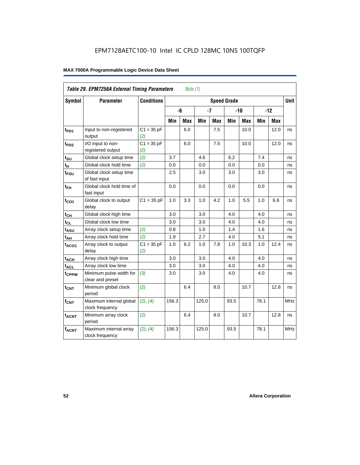|                   | Table 29. EPM7256A External Timing Parameters<br>Note (1) |                     |       |                                   |       |            |      |       |       |            |            |
|-------------------|-----------------------------------------------------------|---------------------|-------|-----------------------------------|-------|------------|------|-------|-------|------------|------------|
| Symbol            | <b>Parameter</b>                                          | <b>Conditions</b>   |       | <b>Unit</b><br><b>Speed Grade</b> |       |            |      |       |       |            |            |
|                   |                                                           |                     |       | -6                                |       | $-7$       |      | $-10$ | $-12$ |            |            |
|                   |                                                           |                     | Min   | Max                               | Min   | <b>Max</b> | Min  | Max   | Min   | <b>Max</b> |            |
| t <sub>PD1</sub>  | Input to non-registered<br>output                         | $C1 = 35 pF$<br>(2) |       | 6.0                               |       | 7.5        |      | 10.0  |       | 12.0       | ns         |
| t <sub>PD2</sub>  | I/O input to non-<br>registered output                    | $C1 = 35 pF$<br>(2) |       | 6.0                               |       | 7.5        |      | 10.0  |       | 12.0       | ns         |
| $t_{\text{SU}}$   | Global clock setup time                                   | (2)                 | 3.7   |                                   | 4.6   |            | 6.2  |       | 7.4   |            | ns         |
| $t_H$             | Global clock hold time                                    | (2)                 | 0.0   |                                   | 0.0   |            | 0.0  |       | 0.0   |            | ns         |
| $t_{\text{FSU}}$  | Global clock setup time<br>of fast input                  |                     | 2.5   |                                   | 3.0   |            | 3.0  |       | 3.0   |            | ns         |
| $t_{FH}$          | Global clock hold time of<br>fast input                   |                     | 0.0   |                                   | 0.0   |            | 0.0  |       | 0.0   |            | ns         |
| $t_{CO1}$         | Global clock to output<br>delay                           | $C1 = 35 pF$        | 1.0   | 3.3                               | 1.0   | 4.2        | 1.0  | 5.5   | 1.0   | 6.6        | ns         |
| $t_{CH}$          | Global clock high time                                    |                     | 3.0   |                                   | 3.0   |            | 4.0  |       | 4.0   |            | ns         |
| $t_{CL}$          | Global clock low time                                     |                     | 3.0   |                                   | 3.0   |            | 4.0  |       | 4.0   |            | ns         |
| t <sub>ASU</sub>  | Array clock setup time                                    | (2)                 | 0.8   |                                   | 1.0   |            | 1.4  |       | 1.6   |            | ns         |
| $t_{AH}$          | Array clock hold time                                     | (2)                 | 1.9   |                                   | 2.7   |            | 4.0  |       | 5.1   |            | ns         |
| $t_{ACO1}$        | Array clock to output<br>delay                            | $C1 = 35 pF$<br>(2) | 1.0   | 6.2                               | 1.0   | 7.8        | 1.0  | 10.3  | 1.0   | 12.4       | ns         |
| $t_{ACH}$         | Array clock high time                                     |                     | 3.0   |                                   | 3.0   |            | 4.0  |       | 4.0   |            | ns         |
| $t_{\text{ACL}}$  | Array clock low time                                      |                     | 3.0   |                                   | 3.0   |            | 4.0  |       | 4.0   |            | ns         |
| t <sub>CPPW</sub> | Minimum pulse width for<br>clear and preset               | (3)                 | 3.0   |                                   | 3.0   |            | 4.0  |       | 4.0   |            | ns         |
| $t_{\text{CNT}}$  | Minimum global clock<br>period                            | (2)                 |       | 6.4                               |       | 8.0        |      | 10.7  |       | 12.8       | ns         |
| $f_{CNT}$         | Maximum internal global<br>clock frequency                | (2), (4)            | 156.3 |                                   | 125.0 |            | 93.5 |       | 78.1  |            | <b>MHz</b> |
| t <sub>ACNT</sub> | Minimum array clock<br>period                             | (2)                 |       | 6.4                               |       | 8.0        |      | 10.7  |       | 12.8       | ns         |
| <b>fACNT</b>      | Maximum internal array<br>clock frequency                 | (2), (4)            | 156.3 |                                   | 125.0 |            | 93.5 |       | 78.1  |            | <b>MHz</b> |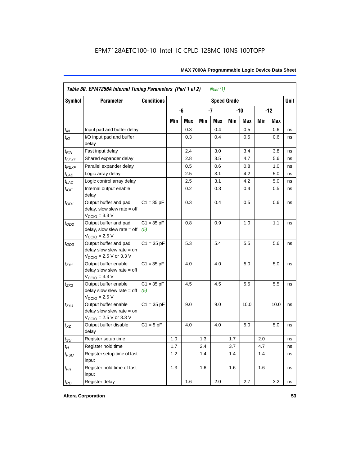| Symbol                      | <b>Parameter</b>                                                                                            | <b>Conditions</b>   |     |            | <b>Unit</b> |            |     |            |     |            |    |
|-----------------------------|-------------------------------------------------------------------------------------------------------------|---------------------|-----|------------|-------------|------------|-----|------------|-----|------------|----|
|                             |                                                                                                             |                     |     | -6         |             | $-7$       |     | -10        |     | $-12$      |    |
|                             |                                                                                                             |                     | Min | <b>Max</b> | Min         | <b>Max</b> | Min | <b>Max</b> | Min | <b>Max</b> |    |
| $t_{IN}$                    | Input pad and buffer delay                                                                                  |                     |     | 0.3        |             | 0.4        |     | 0.5        |     | 0.6        | ns |
| $t_{IO}$                    | I/O input pad and buffer<br>delay                                                                           |                     |     | 0.3        |             | 0.4        |     | 0.5        |     | 0.6        | ns |
| t <sub>FIN</sub>            | Fast input delay                                                                                            |                     |     | 2.4        |             | 3.0        |     | 3.4        |     | 3.8        | ns |
| $t_{SEXP}$                  | Shared expander delay                                                                                       |                     |     | 2.8        |             | 3.5        |     | 4.7        |     | 5.6        | ns |
| t <sub>PEXP</sub>           | Parallel expander delay                                                                                     |                     |     | 0.5        |             | 0.6        |     | 0.8        |     | 1.0        | ns |
| $t_{L\underline{AD}}$       | Logic array delay                                                                                           |                     |     | 2.5        |             | 3.1        |     | 4.2        |     | 5.0        | ns |
| t <sub>LAC</sub>            | Logic control array delay                                                                                   |                     |     | 2.5        |             | 3.1        |     | 4.2        |     | 5.0        | ns |
| $t_{\mathit{IOE}}$          | Internal output enable<br>delay                                                                             |                     |     | 0.2        |             | 0.3        |     | 0.4        |     | 0.5        | ns |
| $t_{OD1}$                   | Output buffer and pad<br>delay, slow slew rate = off<br>V <sub>CCIO</sub> = 3.3 V                           | $C1 = 35 pF$        |     | 0.3        |             | 0.4        |     | 0.5        |     | 0.6        | ns |
| $t_{OD2}$                   | Output buffer and pad<br>$delay$ , slow slew rate = off<br>$VCCIO = 2.5 V$                                  | $C1 = 35 pF$<br>(5) |     | 0.8        |             | 0.9        |     | 1.0        |     | 1.1        | ns |
| $t_{OD3}$                   | Output buffer and pad<br>delay slow slew rate $=$ on<br>$V_{\text{CCIO}} = 2.5 \text{ V or } 3.3 \text{ V}$ | $C1 = 35 pF$        |     | 5.3        |             | 5.4        |     | 5.5        |     | 5.6        | ns |
| $t_{ZX1}$                   | Output buffer enable<br>$delay$ slow slew rate = off<br>$VCCIO = 3.3 V$                                     | $C1 = 35 pF$        |     | 4.0        |             | 4.0        |     | 5.0        |     | 5.0        | ns |
| t <sub>ZX2</sub>            | Output buffer enable<br>delay slow slew rate $=$ off<br>$VCCIO = 2.5 V$                                     | $C1 = 35 pF$<br>(5) |     | 4.5        |             | 4.5        |     | 5.5        |     | 5.5        | ns |
| $t_{ZX3}$                   | Output buffer enable<br>delay slow slew rate $=$ on<br>$V_{\text{CCIO}}$ = 2.5 V or 3.3 V                   | $C1 = 35 pF$        |     | 9.0        |             | 9.0        |     | 10.0       |     | 10.0       | ns |
| $t_{XZ}$                    | Output buffer disable<br>delay                                                                              | $C1 = 5pF$          |     | 4.0        |             | 4.0        |     | 5.0        |     | 5.0        | ns |
| $t_{\scriptstyle\text{SU}}$ | Register setup time                                                                                         |                     | 1.0 |            | 1.3         |            | 1.7 |            | 2.0 |            | ns |
| $t_{H}$                     | Register hold time                                                                                          |                     | 1.7 |            | 2.4         |            | 3.7 |            | 4.7 |            | ns |
| $t_{FSU}$                   | Register setup time of fast<br>input                                                                        |                     | 1.2 |            | 1.4         |            | 1.4 |            | 1.4 |            | ns |
| $t_{FH}$                    | Register hold time of fast<br>input                                                                         |                     | 1.3 |            | 1.6         |            | 1.6 |            | 1.6 |            | ns |
| $t_{RD}$                    | Register delay                                                                                              |                     |     | 1.6        |             | 2.0        |     | 2.7        |     | 3.2        | ns |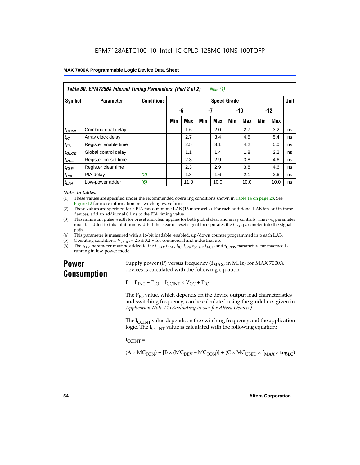| Table 30. EPM7256A Internal Timing Parameters (Part 2 of 2)<br>Note (1) |                      |                   |                    |            |     |      |       |            |       |      |    |
|-------------------------------------------------------------------------|----------------------|-------------------|--------------------|------------|-----|------|-------|------------|-------|------|----|
| <b>Symbol</b>                                                           | <b>Parameter</b>     | <b>Conditions</b> | <b>Speed Grade</b> |            |     |      |       |            |       |      |    |
|                                                                         |                      |                   | -6                 |            | -7  |      | $-10$ |            | $-12$ |      |    |
|                                                                         |                      |                   | Min                | <b>Max</b> | Min | Max  | Min   | <b>Max</b> | Min   | Max  |    |
| $t_{COMB}$                                                              | Combinatorial delay  |                   |                    | 1.6        |     | 2.0  |       | 2.7        |       | 3.2  | ns |
| $t_{IC}$                                                                | Array clock delay    |                   |                    | 2.7        |     | 3.4  |       | 4.5        |       | 5.4  | ns |
| $t_{EN}$                                                                | Register enable time |                   |                    | 2.5        |     | 3.1  |       | 4.2        |       | 5.0  | ns |
| $t_{GLOB}$                                                              | Global control delay |                   |                    | 1.1        |     | 1.4  |       | 1.8        |       | 2.2  | ns |
| $t_{PRE}$                                                               | Register preset time |                   |                    | 2.3        |     | 2.9  |       | 3.8        |       | 4.6  | ns |
| $t_{CLR}$                                                               | Register clear time  |                   |                    | 2.3        |     | 2.9  |       | 3.8        |       | 4.6  | ns |
| t <sub>PIA</sub>                                                        | PIA delay            | (2)               |                    | 1.3        |     | 1.6  |       | 2.1        |       | 2.6  | ns |
| $t_{LPA}$                                                               | Low-power adder      | (6)               |                    | 11.0       |     | 10.0 |       | 10.0       |       | 10.0 | ns |

#### *Notes to tables:*

(1) These values are specified under the recommended operating conditions shown in Table 14 on page 28. See Figure 12 for more information on switching waveforms.

- (2) These values are specified for a PIA fan-out of one LAB (16 macrocells). For each additional LAB fan-out in these devices, add an additional 0.1 ns to the PIA timing value.
- (3) This minimum pulse width for preset and clear applies for both global clear and array controls. The  $t_{LPA}$  parameter must be added to this minimum width if the clear or reset signal incorporates the  $t_{LAD}$  parameter into the signal path.
- (4) This parameter is measured with a 16-bit loadable, enabled, up/down counter programmed into each LAB.
- (5) Operating conditions:  $V_{\text{CCIO}} = 2.5 \pm 0.2 \text{ V}$  for commercial and industrial use.<br>(6) The  $t_{I/A}$  parameter must be added to the  $t_{I AD}$ ,  $t_{I AC}$ ,  $t_{I C}$ ,  $t_{F N}$ ,  $t_{S F Y P}$ ,  $t_{A C I}$ , and
- The  $t_{LPA}$  parameter must be added to the  $t_{LAD}$ ,  $t_{LAC}$ ,  $t_{IC}$ ,  $t_{EN}$ ,  $t_{SEXP}$ ,  $t_{ACL}$  and  $t_{CPPW}$  parameters for macrocells running in low-power mode.

### **Power Consumption**

Supply power (P) versus frequency  $(f_{MAX}$ , in MHz) for MAX 7000A devices is calculated with the following equation:

 $P = P_{INT} + P_{IO} = I_{CCINT} \times V_{CC} + P_{IO}$ 

The  $P_{IO}$  value, which depends on the device output load characteristics and switching frequency, can be calculated using the guidelines given in *Application Note 74 (Evaluating Power for Altera Devices)*.

The  $I_{\text{CUNT}}$  value depends on the switching frequency and the application logic. The  $I_{\text{CCINT}}$  value is calculated with the following equation:

 $I_{\text{CCMT}} =$ 

 $(A \times MC_{TON}) + [B \times (MC_{DEV} - MC_{TON})] + (C \times MC_{LISED} \times f_{MAX} \times tog_{LC})$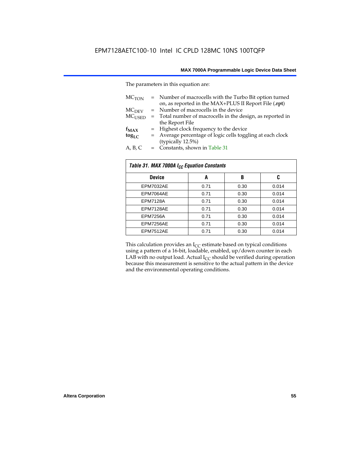The parameters in this equation are:

| MC <sub>TON</sub> | = Number of macrocells with the Turbo Bit option turned<br>on, as reported in the MAX+PLUS II Report File (.rpt) |
|-------------------|------------------------------------------------------------------------------------------------------------------|
| MC <sub>DFV</sub> | = Number of macrocells in the device                                                                             |
| $MC_{LISED}$      | = Total number of macrocells in the design, as reported in                                                       |
|                   | the Report File                                                                                                  |
| $f_{MAX}$         | = Highest clock frequency to the device                                                                          |
| $tog_{LC}$        | = Average percentage of logic cells toggling at each clock                                                       |
|                   | (typically 12.5%)                                                                                                |
| A, B, C           | = Constants, shown in Table 31                                                                                   |

| Table 31. MAX 7000A I <sub>CC</sub> Equation Constants |      |      |       |  |  |
|--------------------------------------------------------|------|------|-------|--|--|
| <b>Device</b>                                          | A    | B    | C     |  |  |
| EPM7032AE                                              | 0.71 | 0.30 | 0.014 |  |  |
| EPM7064AE                                              | 0.71 | 0.30 | 0.014 |  |  |
| <b>EPM7128A</b>                                        | 0.71 | 0.30 | 0.014 |  |  |
| EPM7128AE                                              | 0.71 | 0.30 | 0.014 |  |  |
| <b>EPM7256A</b>                                        | 0.71 | 0.30 | 0.014 |  |  |
| EPM7256AE                                              | 0.71 | 0.30 | 0.014 |  |  |
| EPM7512AE                                              | 0.71 | 0.30 | 0.014 |  |  |

This calculation provides an  $I_{CC}$  estimate based on typical conditions using a pattern of a 16-bit, loadable, enabled, up/down counter in each LAB with no output load. Actual  $I_{CC}$  should be verified during operation because this measurement is sensitive to the actual pattern in the device and the environmental operating conditions.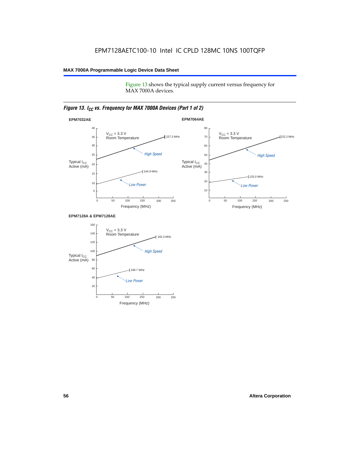Figure 13 shows the typical supply current versus frequency for MAX 7000A devices.

#### *Figure 13. I<sub>CC</sub> vs. Frequency for MAX 7000A Devices (Part 1 of 2)*



#### **EPM7128A & EPM7128AE**

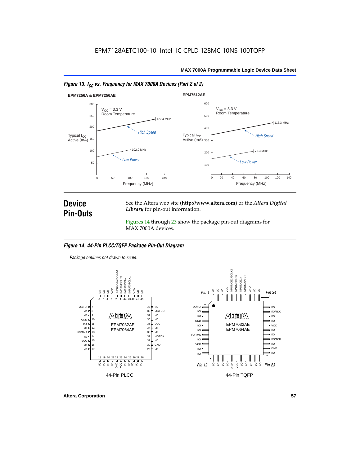



### **Device Pin-Outs**

See the Altera web site (**http://www.altera.com**) or the *Altera Digital Library* for pin-out information.

Figures 14 through 23 show the package pin-out diagrams for MAX 7000A devices.

#### *Figure 14. 44-Pin PLCC/TQFP Package Pin-Out Diagram*

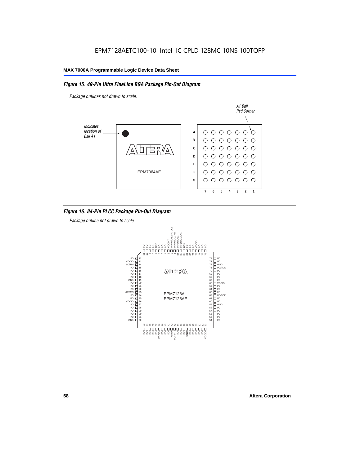#### *Figure 15. 49-Pin Ultra FineLine BGA Package Pin-Out Diagram*

*Package outlines not drawn to scale.*



#### *Figure 16. 84-Pin PLCC Package Pin-Out Diagram*

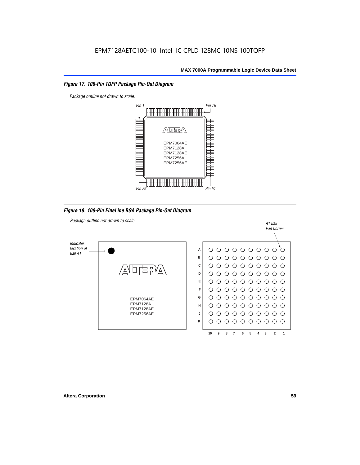#### *Figure 17. 100-Pin TQFP Package Pin-Out Diagram*



*Figure 18. 100-Pin FineLine BGA Package Pin-Out Diagram*

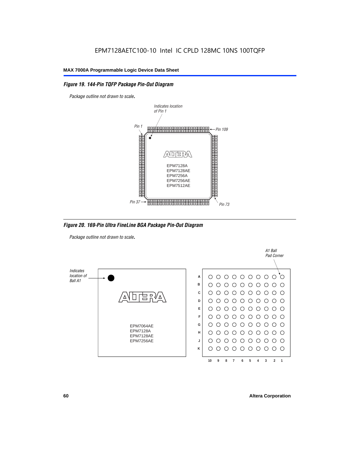#### *Figure 19. 144-Pin TQFP Package Pin-Out Diagram*

*Package outline not drawn to scale*.



*Figure 20. 169-Pin Ultra FineLine BGA Package Pin-Out Diagram*

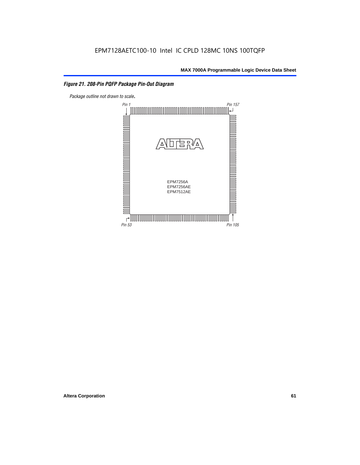#### *Figure 21. 208-Pin PQFP Package Pin-Out Diagram*

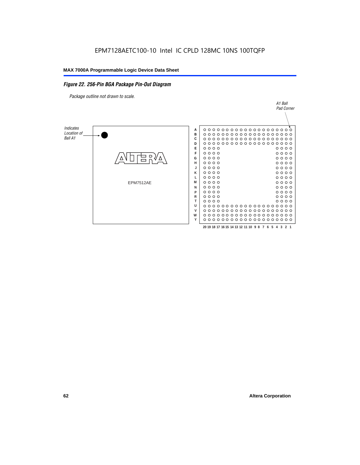#### *Figure 22. 256-Pin BGA Package Pin-Out Diagram*

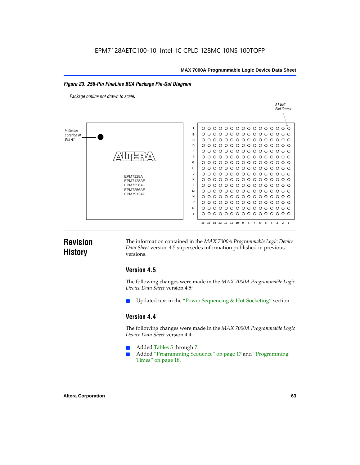#### *Figure 23. 256-Pin FineLine BGA Package Pin-Out Diagram*

*Package outline not drawn to scale*.



### **Revision History**

The information contained in the *MAX 7000A Programmable Logic Device Data Sheet* version 4.5 supersedes information published in previous versions.

#### **Version 4.5**

The following changes were made in the *MAX 7000A Programmable Logic Device Data Sheet* version 4.5:

Updated text in the "Power Sequencing & Hot-Socketing" section.

#### **Version 4.4**

The following changes were made in the *MAX 7000A Programmable Logic Device Data Sheet* version 4.4:

- Added Tables 5 through 7.
	- Added "Programming Sequence" on page 17 and "Programming Times" on page 18.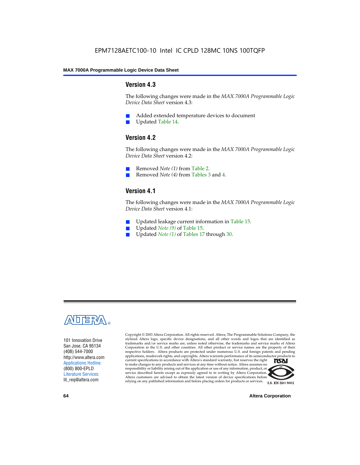#### **Version 4.3**

The following changes were made in the *MAX 7000A Programmable Logic Device Data Sheet* version 4.3:

- Added extended temperature devices to document
- Updated Table 14.

#### **Version 4.2**

The following changes were made in the *MAX 7000A Programmable Logic Device Data Sheet* version 4.2:

- Removed *Note (1)* from Table 2.
- Removed *Note (4)* from Tables 3 and 4.

#### **Version 4.1**

The following changes were made in the *MAX 7000A Programmable Logic Device Data Sheet* version 4.1:

- Updated leakage current information in Table 15.
- Updated *Note (9)* of Table 15.
- Updated *Note* (1) of Tables 17 through 30.



101 Innovation Drive San Jose, CA 95134 (408) 544-7000 http://www.altera.com Applications Hotline: (800) 800-EPLD Literature Services: lit\_req@altera.com

Copyright © 2003 Altera Corporation. All rights reserved. Altera, The Programmable Solutions Company, the stylized Altera logo, specific device designations, and all other words and logos that are identified as trademarks and/or service marks are, unless noted otherwise, the trademarks and service marks of Altera Corporation in the U.S. and other countries. All other product or service names are the property of their respective holders. Altera products are protected under numerous U.S. and foreign patents and pending applications, maskwork rights, and copyrights. Altera warrants performance of its semiconductor products to current specifications in accordance with Altera's standard warranty, but reserves the right **TSAI** to make changes to any products and services at any time without notice. Altera assumes no responsibility or liability arising out of the application or use of any information, product, or service described herein except as expressly agreed to in writing by Altera Corporation. Altera customers are advised to obtain the latest version of device specifications before relying on any published information and before placing orders for products or services.



**I.S. EN ISO 9001** 

**64 Altera Corporation**